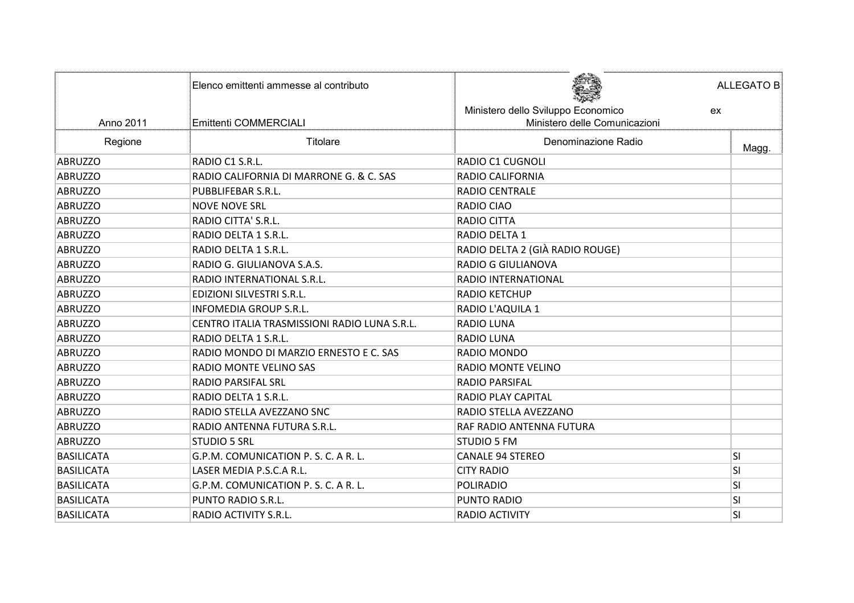|                   | Elenco emittenti ammesse al contributo       |                                          | ALLEGATO B |
|-------------------|----------------------------------------------|------------------------------------------|------------|
|                   |                                              | Ministero dello Sviluppo Economico<br>ex |            |
| Anno 2011         | Emittenti COMMERCIALI                        | Ministero delle Comunicazioni            |            |
| Regione           | <b>Titolare</b>                              | Denominazione Radio                      | Magg.      |
| <b>ABRUZZO</b>    | RADIO C1 S.R.L.                              | <b>RADIO C1 CUGNOLI</b>                  |            |
| <b>ABRUZZO</b>    | RADIO CALIFORNIA DI MARRONE G. & C. SAS      | RADIO CALIFORNIA                         |            |
| <b>ABRUZZO</b>    | PUBBLIFEBAR S.R.L.                           | <b>RADIO CENTRALE</b>                    |            |
| <b>ABRUZZO</b>    | <b>NOVE NOVE SRL</b>                         | <b>RADIO CIAO</b>                        |            |
| <b>ABRUZZO</b>    | RADIO CITTA' S.R.L.                          | <b>RADIO CITTA</b>                       |            |
| <b>ABRUZZO</b>    | RADIO DELTA 1 S.R.L.                         | RADIO DELTA 1                            |            |
| <b>ABRUZZO</b>    | RADIO DELTA 1 S.R.L.                         | RADIO DELTA 2 (GIÀ RADIO ROUGE)          |            |
| <b>ABRUZZO</b>    | RADIO G. GIULIANOVA S.A.S.                   | <b>RADIO G GIULIANOVA</b>                |            |
| <b>ABRUZZO</b>    | RADIO INTERNATIONAL S.R.L.                   | RADIO INTERNATIONAL                      |            |
| <b>ABRUZZO</b>    | EDIZIONI SILVESTRI S.R.L.                    | <b>RADIO KETCHUP</b>                     |            |
| <b>ABRUZZO</b>    | <b>INFOMEDIA GROUP S.R.L.</b>                | RADIO L'AQUILA 1                         |            |
| <b>ABRUZZO</b>    | CENTRO ITALIA TRASMISSIONI RADIO LUNA S.R.L. | <b>RADIO LUNA</b>                        |            |
| <b>ABRUZZO</b>    | RADIO DELTA 1 S.R.L.                         | <b>RADIO LUNA</b>                        |            |
| <b>ABRUZZO</b>    | RADIO MONDO DI MARZIO ERNESTO E C. SAS       | RADIO MONDO                              |            |
| <b>ABRUZZO</b>    | <b>RADIO MONTE VELINO SAS</b>                | <b>RADIO MONTE VELINO</b>                |            |
| <b>ABRUZZO</b>    | <b>RADIO PARSIFAL SRL</b>                    | <b>RADIO PARSIFAL</b>                    |            |
| <b>ABRUZZO</b>    | RADIO DELTA 1 S.R.L.                         | <b>RADIO PLAY CAPITAL</b>                |            |
| <b>ABRUZZO</b>    | RADIO STELLA AVEZZANO SNC                    | RADIO STELLA AVEZZANO                    |            |
| <b>ABRUZZO</b>    | RADIO ANTENNA FUTURA S.R.L.                  | RAF RADIO ANTENNA FUTURA                 |            |
| <b>ABRUZZO</b>    | <b>STUDIO 5 SRL</b>                          | <b>STUDIO 5 FM</b>                       |            |
| <b>BASILICATA</b> | G.P.M. COMUNICATION P. S. C. A R. L.         | <b>CANALE 94 STEREO</b>                  | SI         |
| <b>BASILICATA</b> | LASER MEDIA P.S.C.A R.L.                     | <b>CITY RADIO</b>                        | SI         |
| <b>BASILICATA</b> | G.P.M. COMUNICATION P. S. C. A R. L.         | <b>POLIRADIO</b>                         | SI         |
| <b>BASILICATA</b> | PUNTO RADIO S.R.L.                           | PUNTO RADIO                              | <b>SI</b>  |
| <b>BASILICATA</b> | RADIO ACTIVITY S.R.L.                        | RADIO ACTIVITY                           | <b>SI</b>  |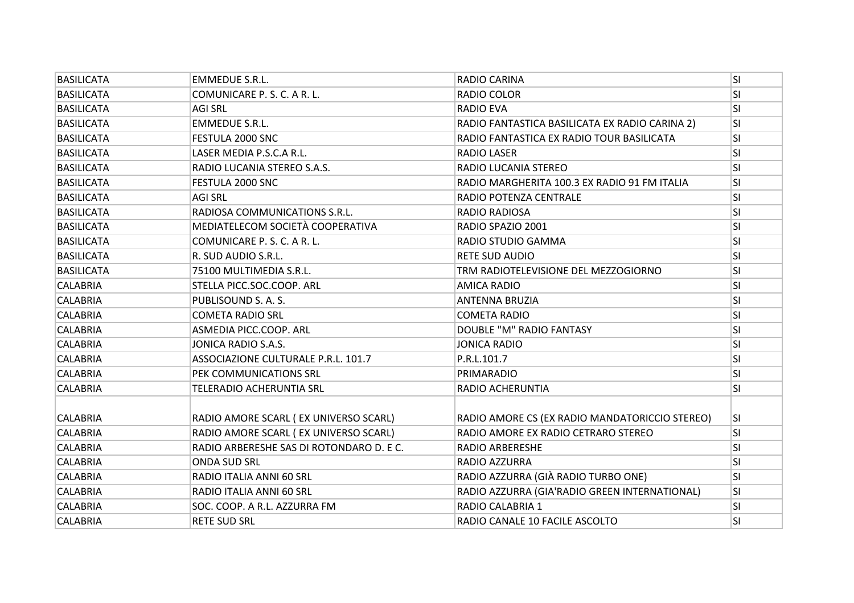| <b>BASILICATA</b> | <b>EMMEDUE S.R.L.</b>                    | RADIO CARINA                                   | lsı                     |
|-------------------|------------------------------------------|------------------------------------------------|-------------------------|
| <b>BASILICATA</b> | COMUNICARE P. S. C. A R. L.              | RADIO COLOR                                    | lsı                     |
| <b>BASILICATA</b> | <b>AGI SRL</b>                           | <b>RADIO EVA</b>                               | SI                      |
| <b>BASILICATA</b> | <b>EMMEDUE S.R.L.</b>                    | RADIO FANTASTICA BASILICATA EX RADIO CARINA 2) | SI                      |
| <b>BASILICATA</b> | FESTULA 2000 SNC                         | RADIO FANTASTICA EX RADIO TOUR BASILICATA      | SI                      |
| <b>BASILICATA</b> | LASER MEDIA P.S.C.A R.L.                 | <b>RADIO LASER</b>                             | lsı                     |
| <b>BASILICATA</b> | RADIO LUCANIA STEREO S.A.S.              | RADIO LUCANIA STEREO                           | lsı                     |
| <b>BASILICATA</b> | FESTULA 2000 SNC                         | RADIO MARGHERITA 100.3 EX RADIO 91 FM ITALIA   | $\overline{\mathsf{S}}$ |
| <b>BASILICATA</b> | <b>AGI SRL</b>                           | RADIO POTENZA CENTRALE                         | SI                      |
| <b>BASILICATA</b> | RADIOSA COMMUNICATIONS S.R.L.            | <b>RADIO RADIOSA</b>                           | SI                      |
| <b>BASILICATA</b> | MEDIATELECOM SOCIETÀ COOPERATIVA         | RADIO SPAZIO 2001                              | lsı                     |
| <b>BASILICATA</b> | COMUNICARE P. S. C. A R. L.              | RADIO STUDIO GAMMA                             | lsı                     |
| <b>BASILICATA</b> | R. SUD AUDIO S.R.L.                      | <b>RETE SUD AUDIO</b>                          | <b>SI</b>               |
| <b>BASILICATA</b> | 75100 MULTIMEDIA S.R.L.                  | TRM RADIOTELEVISIONE DEL MEZZOGIORNO           | SI                      |
| <b>CALABRIA</b>   | STELLA PICC.SOC.COOP. ARL                | <b>AMICA RADIO</b>                             | SI                      |
| <b>CALABRIA</b>   | PUBLISOUND S. A. S.                      | <b>ANTENNA BRUZIA</b>                          | SI                      |
| <b>CALABRIA</b>   | <b>COMETA RADIO SRL</b>                  | <b>COMETA RADIO</b>                            | <b>SI</b>               |
| <b>CALABRIA</b>   | ASMEDIA PICC.COOP. ARL                   | DOUBLE "M" RADIO FANTASY                       | SI                      |
| <b>CALABRIA</b>   | JONICA RADIO S.A.S.                      | <b>JONICA RADIO</b>                            | lsı                     |
| <b>CALABRIA</b>   | ASSOCIAZIONE CULTURALE P.R.L. 101.7      | P.R.L.101.7                                    | $\overline{\mathsf{S}}$ |
| <b>CALABRIA</b>   | PEK COMMUNICATIONS SRL                   | PRIMARADIO                                     | SI                      |
| <b>CALABRIA</b>   | TELERADIO ACHERUNTIA SRL                 | RADIO ACHERUNTIA                               | SI                      |
|                   |                                          |                                                |                         |
| CALABRIA          | RADIO AMORE SCARL (EX UNIVERSO SCARL)    | RADIO AMORE CS (EX RADIO MANDATORICCIO STEREO) | SI.                     |
| <b>CALABRIA</b>   | RADIO AMORE SCARL (EX UNIVERSO SCARL)    | RADIO AMORE EX RADIO CETRARO STEREO            | lsı                     |
| <b>CALABRIA</b>   | RADIO ARBERESHE SAS DI ROTONDARO D. E C. | <b>RADIO ARBERESHE</b>                         | <b>SI</b>               |
| <b>CALABRIA</b>   | <b>ONDA SUD SRL</b>                      | RADIO AZZURRA                                  | SI                      |
| <b>CALABRIA</b>   | RADIO ITALIA ANNI 60 SRL                 | RADIO AZZURRA (GIÀ RADIO TURBO ONE)            | SI                      |
| <b>CALABRIA</b>   | RADIO ITALIA ANNI 60 SRL                 | RADIO AZZURRA (GIA'RADIO GREEN INTERNATIONAL)  | lsı                     |
| <b>CALABRIA</b>   | SOC. COOP. A R.L. AZZURRA FM             | RADIO CALABRIA 1                               | lsı                     |
| <b>CALABRIA</b>   | <b>RETE SUD SRL</b>                      | RADIO CANALE 10 FACILE ASCOLTO                 | lsı                     |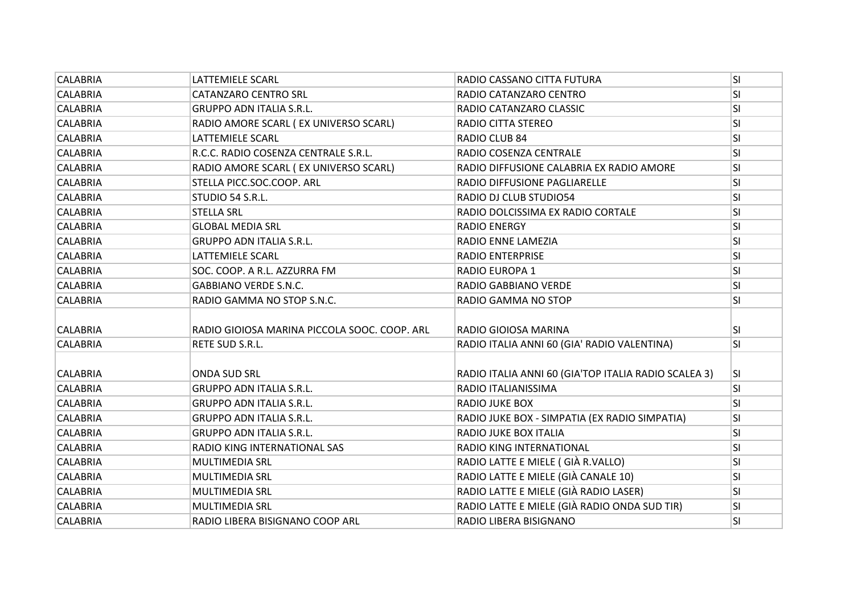| <b>CALABRIA</b> | LATTEMIELE SCARL                             | RADIO CASSANO CITTA FUTURA                           | <b>SI</b>               |
|-----------------|----------------------------------------------|------------------------------------------------------|-------------------------|
| <b>CALABRIA</b> | <b>CATANZARO CENTRO SRL</b>                  | RADIO CATANZARO CENTRO                               | SI                      |
| <b>CALABRIA</b> | <b>GRUPPO ADN ITALIA S.R.L.</b>              | RADIO CATANZARO CLASSIC                              | SI                      |
| <b>CALABRIA</b> | RADIO AMORE SCARL (EX UNIVERSO SCARL)        | RADIO CITTA STEREO                                   | <b>SI</b>               |
| <b>CALABRIA</b> | LATTEMIELE SCARL                             | RADIO CLUB 84                                        | <b>SI</b>               |
| <b>CALABRIA</b> | R.C.C. RADIO COSENZA CENTRALE S.R.L.         | RADIO COSENZA CENTRALE                               | lsı                     |
| <b>CALABRIA</b> | RADIO AMORE SCARL (EX UNIVERSO SCARL)        | RADIO DIFFUSIONE CALABRIA EX RADIO AMORE             | <b>SI</b>               |
| <b>CALABRIA</b> | STELLA PICC.SOC.COOP. ARL                    | RADIO DIFFUSIONE PAGLIARELLE                         | <b>SI</b>               |
| <b>CALABRIA</b> | STUDIO 54 S.R.L.                             | RADIO DJ CLUB STUDIO54                               | <b>SI</b>               |
| <b>CALABRIA</b> | <b>STELLA SRL</b>                            | RADIO DOLCISSIMA EX RADIO CORTALE                    | SI                      |
| <b>CALABRIA</b> | <b>GLOBAL MEDIA SRL</b>                      | <b>RADIO ENERGY</b>                                  | lsı                     |
| <b>CALABRIA</b> | <b>GRUPPO ADN ITALIA S.R.L.</b>              | RADIO ENNE LAMEZIA                                   | SI                      |
| <b>CALABRIA</b> | LATTEMIELE SCARL                             | <b>RADIO ENTERPRISE</b>                              | SI                      |
| <b>CALABRIA</b> | SOC. COOP. A R.L. AZZURRA FM                 | RADIO EUROPA 1                                       | <b>SI</b>               |
| <b>CALABRIA</b> | <b>GABBIANO VERDE S.N.C.</b>                 | <b>RADIO GABBIANO VERDE</b>                          | SI                      |
| <b>CALABRIA</b> | RADIO GAMMA NO STOP S.N.C.                   | RADIO GAMMA NO STOP                                  | <b>SI</b>               |
|                 |                                              |                                                      |                         |
| <b>CALABRIA</b> | RADIO GIOIOSA MARINA PICCOLA SOOC. COOP. ARL | RADIO GIOIOSA MARINA                                 | SI.                     |
| <b>CALABRIA</b> | RETE SUD S.R.L.                              | RADIO ITALIA ANNI 60 (GIA' RADIO VALENTINA)          | $\overline{\mathsf{S}}$ |
|                 |                                              |                                                      |                         |
| <b>CALABRIA</b> | <b>ONDA SUD SRL</b>                          | RADIO ITALIA ANNI 60 (GIA'TOP ITALIA RADIO SCALEA 3) | lsı                     |
| <b>CALABRIA</b> | <b>GRUPPO ADN ITALIA S.R.L.</b>              | <b>RADIO ITALIANISSIMA</b>                           | SI                      |
| <b>CALABRIA</b> | <b>GRUPPO ADN ITALIA S.R.L.</b>              | RADIO JUKE BOX                                       | SI                      |
| <b>CALABRIA</b> | <b>GRUPPO ADN ITALIA S.R.L.</b>              | RADIO JUKE BOX - SIMPATIA (EX RADIO SIMPATIA)        | SI                      |
| <b>CALABRIA</b> | <b>GRUPPO ADN ITALIA S.R.L.</b>              | RADIO JUKE BOX ITALIA                                | lsı                     |
| <b>CALABRIA</b> | RADIO KING INTERNATIONAL SAS                 | RADIO KING INTERNATIONAL                             | SI                      |
| <b>CALABRIA</b> | <b>MULTIMEDIA SRL</b>                        | RADIO LATTE E MIELE (GIÀ R.VALLO)                    | SI                      |
| <b>CALABRIA</b> | <b>MULTIMEDIA SRL</b>                        | RADIO LATTE E MIELE (GIÀ CANALE 10)                  | SI                      |
| <b>CALABRIA</b> | <b>MULTIMEDIA SRL</b>                        | RADIO LATTE E MIELE (GIÀ RADIO LASER)                | <b>SI</b>               |
| <b>CALABRIA</b> | <b>MULTIMEDIA SRL</b>                        | RADIO LATTE E MIELE (GIÀ RADIO ONDA SUD TIR)         | lsı                     |
| <b>CALABRIA</b> | RADIO LIBERA BISIGNANO COOP ARL              | RADIO LIBERA BISIGNANO                               | SI                      |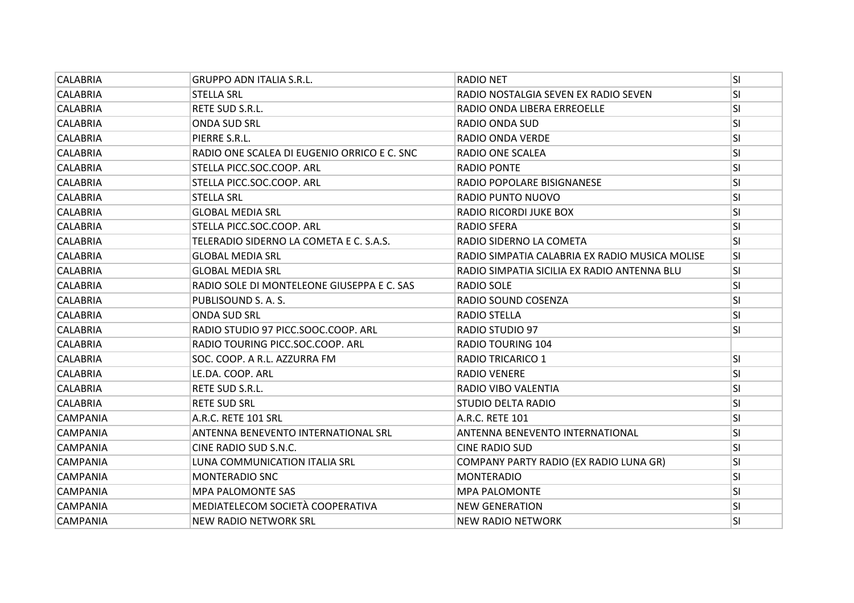| <b>CALABRIA</b> | <b>GRUPPO ADN ITALIA S.R.L.</b>             | <b>RADIO NET</b>                               | lsı       |
|-----------------|---------------------------------------------|------------------------------------------------|-----------|
| <b>CALABRIA</b> | <b>STELLA SRL</b>                           | RADIO NOSTALGIA SEVEN EX RADIO SEVEN           | SI        |
| <b>CALABRIA</b> | RETE SUD S.R.L.                             | RADIO ONDA LIBERA ERREOELLE                    | SI        |
| CALABRIA        | <b>ONDA SUD SRL</b>                         | RADIO ONDA SUD                                 | <b>SI</b> |
| CALABRIA        | PIERRE S.R.L.                               | <b>RADIO ONDA VERDE</b>                        | <b>SI</b> |
| <b>CALABRIA</b> | RADIO ONE SCALEA DI EUGENIO ORRICO E C. SNC | RADIO ONE SCALEA                               | lsı       |
| <b>CALABRIA</b> | STELLA PICC.SOC.COOP. ARL                   | <b>RADIO PONTE</b>                             | lsı       |
| <b>CALABRIA</b> | STELLA PICC.SOC.COOP. ARL                   | RADIO POPOLARE BISIGNANESE                     | <b>SI</b> |
| <b>CALABRIA</b> | <b>STELLA SRL</b>                           | RADIO PUNTO NUOVO                              | <b>SI</b> |
| <b>CALABRIA</b> | <b>GLOBAL MEDIA SRL</b>                     | RADIO RICORDI JUKE BOX                         | SI        |
| <b>CALABRIA</b> | STELLA PICC.SOC.COOP. ARL                   | <b>RADIO SFERA</b>                             | lsı       |
| <b>CALABRIA</b> | TELERADIO SIDERNO LA COMETA E C. S.A.S.     | RADIO SIDERNO LA COMETA                        | lsı       |
| <b>CALABRIA</b> | <b>GLOBAL MEDIA SRL</b>                     | RADIO SIMPATIA CALABRIA EX RADIO MUSICA MOLISE | lsı       |
| <b>CALABRIA</b> | <b>GLOBAL MEDIA SRL</b>                     | RADIO SIMPATIA SICILIA EX RADIO ANTENNA BLU    | <b>SI</b> |
| <b>CALABRIA</b> | RADIO SOLE DI MONTELEONE GIUSEPPA E C. SAS  | <b>RADIO SOLE</b>                              | <b>SI</b> |
| <b>CALABRIA</b> | PUBLISOUND S. A. S.                         | RADIO SOUND COSENZA                            | lsı       |
| <b>CALABRIA</b> | ONDA SUD SRL                                | RADIO STELLA                                   | <b>SI</b> |
| <b>CALABRIA</b> | RADIO STUDIO 97 PICC.SOOC.COOP. ARL         | RADIO STUDIO 97                                | SI        |
| <b>CALABRIA</b> | RADIO TOURING PICC.SOC.COOP. ARL            | <b>RADIO TOURING 104</b>                       |           |
| <b>CALABRIA</b> | SOC. COOP. A R.L. AZZURRA FM                | <b>RADIO TRICARICO 1</b>                       | SI        |
| <b>CALABRIA</b> | LE.DA. COOP. ARL                            | <b>RADIO VENERE</b>                            | <b>SI</b> |
| CALABRIA        | RETE SUD S.R.L.                             | RADIO VIBO VALENTIA                            | SI        |
| <b>CALABRIA</b> | <b>RETE SUD SRL</b>                         | <b>STUDIO DELTA RADIO</b>                      | <b>SI</b> |
| <b>CAMPANIA</b> | A.R.C. RETE 101 SRL                         | A.R.C. RETE 101                                | lsı       |
| <b>CAMPANIA</b> | ANTENNA BENEVENTO INTERNATIONAL SRL         | ANTENNA BENEVENTO INTERNATIONAL                | lsı       |
| <b>CAMPANIA</b> | CINE RADIO SUD S.N.C.                       | <b>CINE RADIO SUD</b>                          | <b>SI</b> |
| <b>CAMPANIA</b> | LUNA COMMUNICATION ITALIA SRL               | COMPANY PARTY RADIO (EX RADIO LUNA GR)         | <b>SI</b> |
| <b>CAMPANIA</b> | <b>MONTERADIO SNC</b>                       | <b>MONTERADIO</b>                              | <b>SI</b> |
| <b>CAMPANIA</b> | <b>MPA PALOMONTE SAS</b>                    | <b>MPA PALOMONTE</b>                           | SI        |
| <b>CAMPANIA</b> | MEDIATELECOM SOCIETÀ COOPERATIVA            | <b>NEW GENERATION</b>                          | lsı       |
| <b>CAMPANIA</b> | <b>NEW RADIO NETWORK SRL</b>                | <b>NEW RADIO NETWORK</b>                       | SI        |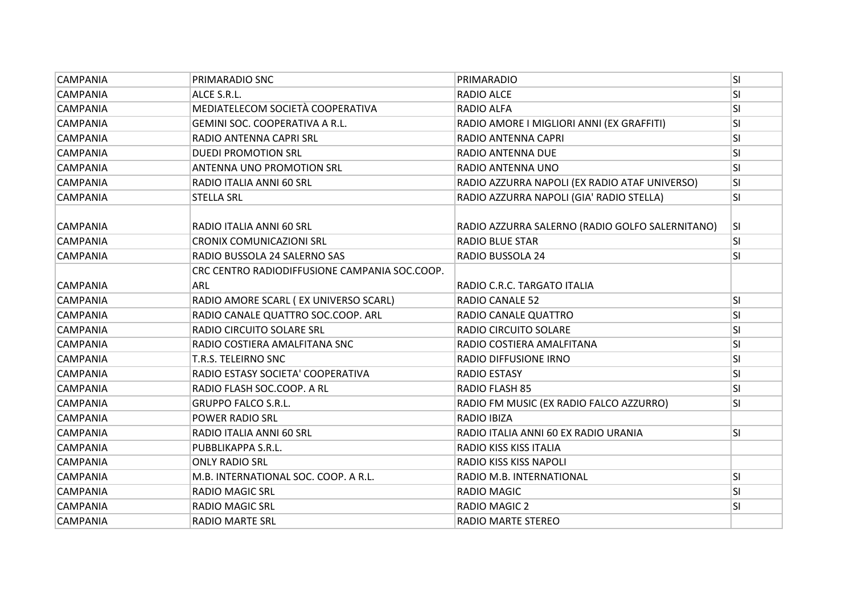| <b>CAMPANIA</b> | PRIMARADIO SNC                                | PRIMARADIO                                      | lsı       |
|-----------------|-----------------------------------------------|-------------------------------------------------|-----------|
| <b>CAMPANIA</b> | ALCE S.R.L.                                   | <b>RADIO ALCE</b>                               | <b>SI</b> |
| <b>CAMPANIA</b> | MEDIATELECOM SOCIETÀ COOPERATIVA              | <b>RADIO ALFA</b>                               | SI        |
| <b>CAMPANIA</b> | GEMINI SOC. COOPERATIVA A R.L.                | RADIO AMORE I MIGLIORI ANNI (EX GRAFFITI)       | <b>SI</b> |
| <b>CAMPANIA</b> | RADIO ANTENNA CAPRI SRL                       | RADIO ANTENNA CAPRI                             | SI        |
| <b>CAMPANIA</b> | <b>DUEDI PROMOTION SRL</b>                    | RADIO ANTENNA DUE                               | lsı       |
| <b>CAMPANIA</b> | <b>ANTENNA UNO PROMOTION SRL</b>              | RADIO ANTENNA UNO                               | lsı       |
| <b>CAMPANIA</b> | RADIO ITALIA ANNI 60 SRL                      | RADIO AZZURRA NAPOLI (EX RADIO ATAF UNIVERSO)   | <b>SI</b> |
| <b>CAMPANIA</b> | <b>STELLA SRL</b>                             | RADIO AZZURRA NAPOLI (GIA' RADIO STELLA)        | <b>SI</b> |
|                 |                                               |                                                 |           |
| <b>CAMPANIA</b> | RADIO ITALIA ANNI 60 SRL                      | RADIO AZZURRA SALERNO (RADIO GOLFO SALERNITANO) | SI.       |
| <b>CAMPANIA</b> | <b>CRONIX COMUNICAZIONI SRL</b>               | <b>RADIO BLUE STAR</b>                          | SI.       |
| <b>CAMPANIA</b> | RADIO BUSSOLA 24 SALERNO SAS                  | RADIO BUSSOLA 24                                | <b>SI</b> |
|                 | CRC CENTRO RADIODIFFUSIONE CAMPANIA SOC.COOP. |                                                 |           |
| <b>CAMPANIA</b> | ARL                                           | RADIO C.R.C. TARGATO ITALIA                     |           |
| <b>CAMPANIA</b> | RADIO AMORE SCARL (EX UNIVERSO SCARL)         | <b>RADIO CANALE 52</b>                          | lsı       |
| <b>CAMPANIA</b> | RADIO CANALE QUATTRO SOC.COOP. ARL            | RADIO CANALE QUATTRO                            | SI        |
| <b>CAMPANIA</b> | RADIO CIRCUITO SOLARE SRL                     | <b>RADIO CIRCUITO SOLARE</b>                    | SI        |
| <b>CAMPANIA</b> | RADIO COSTIERA AMALFITANA SNC                 | RADIO COSTIERA AMALFITANA                       | SI        |
| <b>CAMPANIA</b> | T.R.S. TELEIRNO SNC                           | <b>RADIO DIFFUSIONE IRNO</b>                    | SI        |
| <b>CAMPANIA</b> | RADIO ESTASY SOCIETA' COOPERATIVA             | <b>RADIO ESTASY</b>                             | SI        |
| <b>CAMPANIA</b> | RADIO FLASH SOC.COOP. A RL                    | RADIO FLASH 85                                  | SI        |
| <b>CAMPANIA</b> | <b>GRUPPO FALCO S.R.L.</b>                    | RADIO FM MUSIC (EX RADIO FALCO AZZURRO)         | <b>SI</b> |
| <b>CAMPANIA</b> | <b>POWER RADIO SRL</b>                        | <b>RADIO IBIZA</b>                              |           |
| <b>CAMPANIA</b> | RADIO ITALIA ANNI 60 SRL                      | RADIO ITALIA ANNI 60 EX RADIO URANIA            | <b>SI</b> |
| <b>CAMPANIA</b> | PUBBLIKAPPA S.R.L.                            | RADIO KISS KISS ITALIA                          |           |
| <b>CAMPANIA</b> | <b>ONLY RADIO SRL</b>                         | <b>RADIO KISS KISS NAPOLI</b>                   |           |
| CAMPANIA        | M.B. INTERNATIONAL SOC. COOP. A R.L.          | RADIO M.B. INTERNATIONAL                        | lsı       |
| <b>CAMPANIA</b> | <b>RADIO MAGIC SRL</b>                        | <b>RADIO MAGIC</b>                              | SI        |
| <b>CAMPANIA</b> | <b>RADIO MAGIC SRL</b>                        | <b>RADIO MAGIC 2</b>                            | <b>SI</b> |
| <b>CAMPANIA</b> | <b>RADIO MARTE SRL</b>                        | RADIO MARTE STEREO                              |           |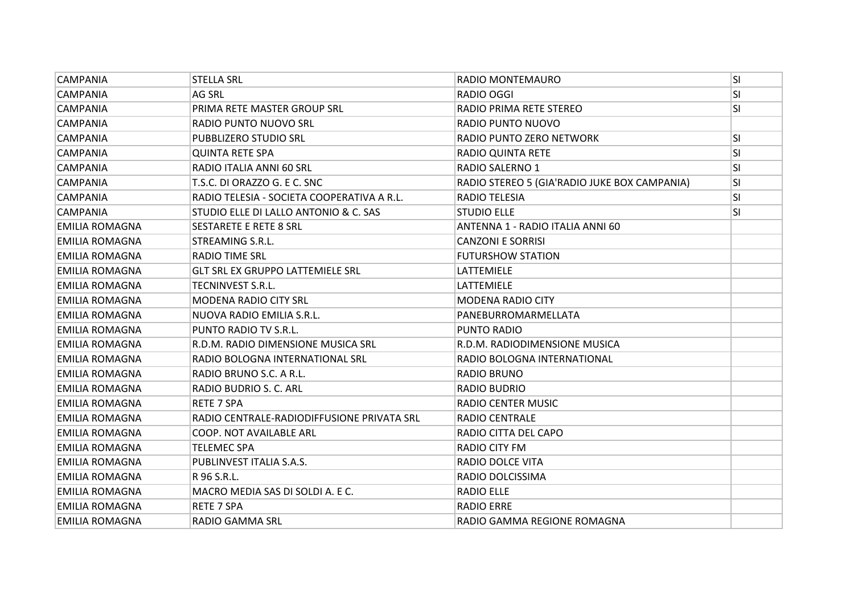| <b>CAMPANIA</b>       | <b>STELLA SRL</b>                          | RADIO MONTEMAURO                             | SI        |
|-----------------------|--------------------------------------------|----------------------------------------------|-----------|
| <b>CAMPANIA</b>       | <b>AG SRL</b>                              | <b>RADIO OGGI</b>                            | SI        |
| <b>CAMPANIA</b>       | PRIMA RETE MASTER GROUP SRL                | RADIO PRIMA RETE STEREO                      | SI        |
| <b>CAMPANIA</b>       | RADIO PUNTO NUOVO SRL                      | <b>RADIO PUNTO NUOVO</b>                     |           |
| <b>CAMPANIA</b>       | PUBBLIZERO STUDIO SRL                      | RADIO PUNTO ZERO NETWORK                     | <b>SI</b> |
| <b>CAMPANIA</b>       | <b>QUINTA RETE SPA</b>                     | <b>RADIO QUINTA RETE</b>                     | <b>SI</b> |
| <b>CAMPANIA</b>       | RADIO ITALIA ANNI 60 SRL                   | RADIO SALERNO 1                              | <b>SI</b> |
| <b>CAMPANIA</b>       | T.S.C. DI ORAZZO G. E C. SNC               | RADIO STEREO 5 (GIA'RADIO JUKE BOX CAMPANIA) | <b>SI</b> |
| <b>CAMPANIA</b>       | RADIO TELESIA - SOCIETA COOPERATIVA A R.L. | <b>RADIO TELESIA</b>                         | SI        |
| <b>CAMPANIA</b>       | STUDIO ELLE DI LALLO ANTONIO & C. SAS      | <b>STUDIO ELLE</b>                           | SI        |
| EMILIA ROMAGNA        | <b>SESTARETE E RETE 8 SRL</b>              | ANTENNA 1 - RADIO ITALIA ANNI 60             |           |
| EMILIA ROMAGNA        | STREAMING S.R.L.                           | <b>CANZONI E SORRISI</b>                     |           |
| EMILIA ROMAGNA        | <b>RADIO TIME SRL</b>                      | <b>FUTURSHOW STATION</b>                     |           |
| <b>EMILIA ROMAGNA</b> | <b>GLT SRL EX GRUPPO LATTEMIELE SRL</b>    | LATTEMIELE                                   |           |
| <b>EMILIA ROMAGNA</b> | TECNINVEST S.R.L.                          | LATTEMIELE                                   |           |
| <b>EMILIA ROMAGNA</b> | <b>MODENA RADIO CITY SRL</b>               | <b>MODENA RADIO CITY</b>                     |           |
| <b>EMILIA ROMAGNA</b> | NUOVA RADIO EMILIA S.R.L.                  | PANEBURROMARMELLATA                          |           |
| <b>EMILIA ROMAGNA</b> | PUNTO RADIO TV S.R.L.                      | <b>PUNTO RADIO</b>                           |           |
| <b>EMILIA ROMAGNA</b> | R.D.M. RADIO DIMENSIONE MUSICA SRL         | R.D.M. RADIODIMENSIONE MUSICA                |           |
| <b>EMILIA ROMAGNA</b> | RADIO BOLOGNA INTERNATIONAL SRL            | RADIO BOLOGNA INTERNATIONAL                  |           |
| <b>EMILIA ROMAGNA</b> | RADIO BRUNO S.C. A R.L.                    | <b>RADIO BRUNO</b>                           |           |
| <b>EMILIA ROMAGNA</b> | RADIO BUDRIO S. C. ARL                     | RADIO BUDRIO                                 |           |
| <b>EMILIA ROMAGNA</b> | <b>RETE 7 SPA</b>                          | <b>RADIO CENTER MUSIC</b>                    |           |
| EMILIA ROMAGNA        | RADIO CENTRALE-RADIODIFFUSIONE PRIVATA SRL | <b>RADIO CENTRALE</b>                        |           |
| EMILIA ROMAGNA        | <b>COOP. NOT AVAILABLE ARL</b>             | RADIO CITTA DEL CAPO                         |           |
| <b>EMILIA ROMAGNA</b> | <b>TELEMEC SPA</b>                         | <b>RADIO CITY FM</b>                         |           |
| <b>EMILIA ROMAGNA</b> | PUBLINVEST ITALIA S.A.S.                   | RADIO DOLCE VITA                             |           |
| <b>EMILIA ROMAGNA</b> | R 96 S.R.L.                                | RADIO DOLCISSIMA                             |           |
| <b>EMILIA ROMAGNA</b> | MACRO MEDIA SAS DI SOLDI A. E C.           | <b>RADIO ELLE</b>                            |           |
| <b>EMILIA ROMAGNA</b> | <b>RETE 7 SPA</b>                          | <b>RADIO ERRE</b>                            |           |
| <b>EMILIA ROMAGNA</b> | <b>RADIO GAMMA SRL</b>                     | RADIO GAMMA REGIONE ROMAGNA                  |           |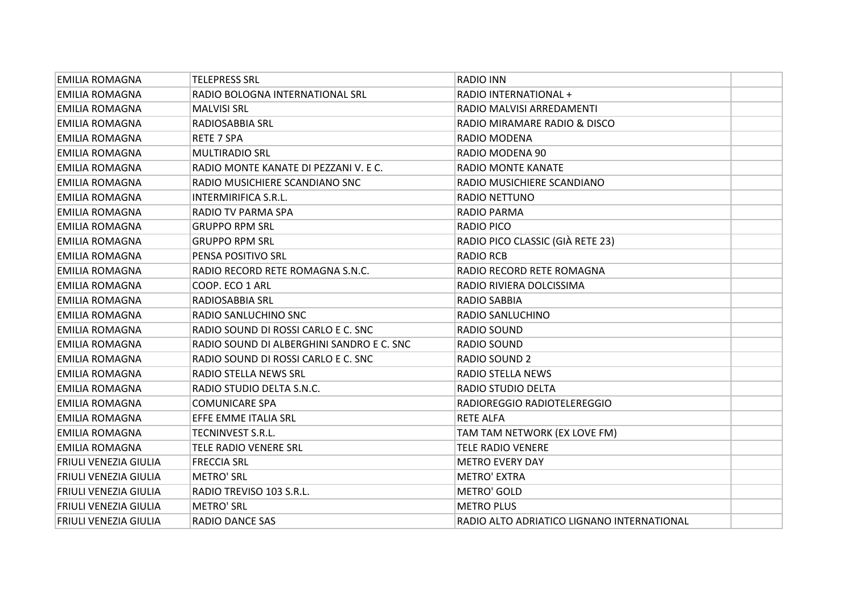| <b>EMILIA ROMAGNA</b>        | <b>TELEPRESS SRL</b>                      | <b>RADIO INN</b>                           |  |
|------------------------------|-------------------------------------------|--------------------------------------------|--|
| EMILIA ROMAGNA               | RADIO BOLOGNA INTERNATIONAL SRL           | RADIO INTERNATIONAL +                      |  |
| <b>EMILIA ROMAGNA</b>        | <b>MALVISI SRL</b>                        | RADIO MALVISI ARREDAMENTI                  |  |
| <b>EMILIA ROMAGNA</b>        | RADIOSABBIA SRL                           | RADIO MIRAMARE RADIO & DISCO               |  |
| EMILIA ROMAGNA               | <b>RETE 7 SPA</b>                         | <b>RADIO MODENA</b>                        |  |
| EMILIA ROMAGNA               | <b>MULTIRADIO SRL</b>                     | RADIO MODENA 90                            |  |
| EMILIA ROMAGNA               | RADIO MONTE KANATE DI PEZZANI V. E C.     | <b>RADIO MONTE KANATE</b>                  |  |
| <b>EMILIA ROMAGNA</b>        | RADIO MUSICHIERE SCANDIANO SNC            | RADIO MUSICHIERE SCANDIANO                 |  |
| <b>EMILIA ROMAGNA</b>        | <b>INTERMIRIFICA S.R.L.</b>               | <b>RADIO NETTUNO</b>                       |  |
| EMILIA ROMAGNA               | RADIO TV PARMA SPA                        | <b>RADIO PARMA</b>                         |  |
| EMILIA ROMAGNA               | <b>GRUPPO RPM SRL</b>                     | <b>RADIO PICO</b>                          |  |
| EMILIA ROMAGNA               | <b>GRUPPO RPM SRL</b>                     | RADIO PICO CLASSIC (GIÀ RETE 23)           |  |
| <b>EMILIA ROMAGNA</b>        | PENSA POSITIVO SRL                        | <b>RADIO RCB</b>                           |  |
| <b>EMILIA ROMAGNA</b>        | RADIO RECORD RETE ROMAGNA S.N.C.          | RADIO RECORD RETE ROMAGNA                  |  |
| <b>EMILIA ROMAGNA</b>        | COOP. ECO 1 ARL                           | RADIO RIVIERA DOLCISSIMA                   |  |
| <b>EMILIA ROMAGNA</b>        | RADIOSABBIA SRL                           | <b>RADIO SABBIA</b>                        |  |
| EMILIA ROMAGNA               | RADIO SANLUCHINO SNC                      | RADIO SANLUCHINO                           |  |
| EMILIA ROMAGNA               | RADIO SOUND DI ROSSI CARLO E C. SNC       | RADIO SOUND                                |  |
| <b>EMILIA ROMAGNA</b>        | RADIO SOUND DI ALBERGHINI SANDRO E C. SNC | RADIO SOUND                                |  |
| EMILIA ROMAGNA               | RADIO SOUND DI ROSSI CARLO E C. SNC       | RADIO SOUND 2                              |  |
| <b>EMILIA ROMAGNA</b>        | RADIO STELLA NEWS SRL                     | <b>RADIO STELLA NEWS</b>                   |  |
| <b>EMILIA ROMAGNA</b>        | RADIO STUDIO DELTA S.N.C.                 | RADIO STUDIO DELTA                         |  |
| <b>EMILIA ROMAGNA</b>        | <b>COMUNICARE SPA</b>                     | RADIOREGGIO RADIOTELEREGGIO                |  |
| EMILIA ROMAGNA               | EFFE EMME ITALIA SRL                      | <b>RETE ALFA</b>                           |  |
| EMILIA ROMAGNA               | TECNINVEST S.R.L.                         | TAM TAM NETWORK (EX LOVE FM)               |  |
| <b>EMILIA ROMAGNA</b>        | <b>TELE RADIO VENERE SRL</b>              | <b>TELE RADIO VENERE</b>                   |  |
| <b>FRIULI VENEZIA GIULIA</b> | <b>FRECCIA SRL</b>                        | <b>METRO EVERY DAY</b>                     |  |
| <b>FRIULI VENEZIA GIULIA</b> | <b>METRO' SRL</b>                         | <b>METRO' EXTRA</b>                        |  |
| <b>FRIULI VENEZIA GIULIA</b> | RADIO TREVISO 103 S.R.L.                  | <b>METRO' GOLD</b>                         |  |
| <b>FRIULI VENEZIA GIULIA</b> | <b>METRO' SRL</b>                         | <b>METRO PLUS</b>                          |  |
| <b>FRIULI VENEZIA GIULIA</b> | <b>RADIO DANCE SAS</b>                    | RADIO ALTO ADRIATICO LIGNANO INTERNATIONAL |  |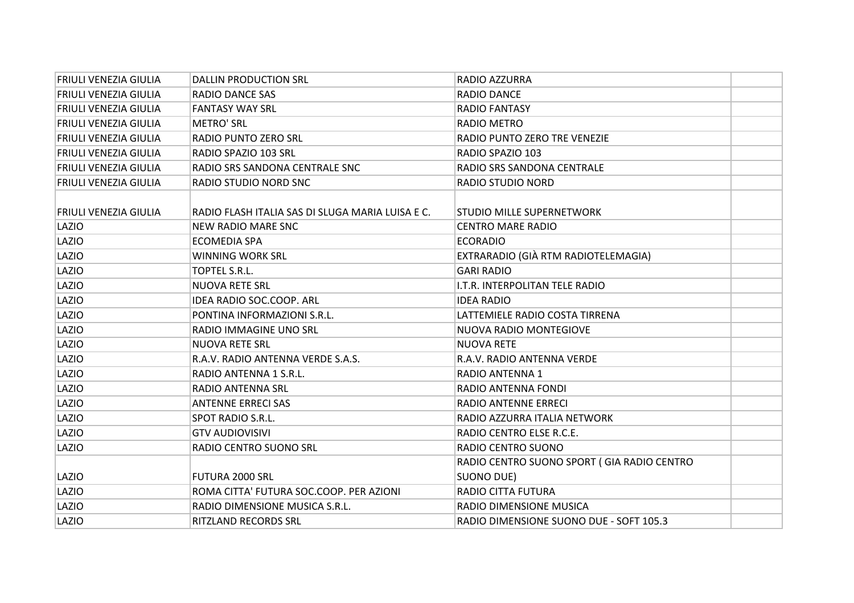| FRIULI VENEZIA GIULIA        | <b>DALLIN PRODUCTION SRL</b>                     | RADIO AZZURRA                              |  |
|------------------------------|--------------------------------------------------|--------------------------------------------|--|
| <b>FRIULI VENEZIA GIULIA</b> | RADIO DANCE SAS                                  | <b>RADIO DANCE</b>                         |  |
| FRIULI VENEZIA GIULIA        | <b>FANTASY WAY SRL</b>                           | <b>RADIO FANTASY</b>                       |  |
| <b>FRIULI VENEZIA GIULIA</b> | <b>METRO' SRL</b>                                | RADIO METRO                                |  |
| <b>FRIULI VENEZIA GIULIA</b> | RADIO PUNTO ZERO SRL                             | RADIO PUNTO ZERO TRE VENEZIE               |  |
| FRIULI VENEZIA GIULIA        | RADIO SPAZIO 103 SRL                             | RADIO SPAZIO 103                           |  |
| FRIULI VENEZIA GIULIA        | RADIO SRS SANDONA CENTRALE SNC                   | RADIO SRS SANDONA CENTRALE                 |  |
| FRIULI VENEZIA GIULIA        | RADIO STUDIO NORD SNC                            | <b>RADIO STUDIO NORD</b>                   |  |
|                              |                                                  |                                            |  |
| <b>FRIULI VENEZIA GIULIA</b> | RADIO FLASH ITALIA SAS DI SLUGA MARIA LUISA E C. | <b>STUDIO MILLE SUPERNETWORK</b>           |  |
| LAZIO                        | NEW RADIO MARE SNC                               | <b>CENTRO MARE RADIO</b>                   |  |
| LAZIO                        | ECOMEDIA SPA                                     | <b>ECORADIO</b>                            |  |
| LAZIO                        | WINNING WORK SRL                                 | EXTRARADIO (GIÀ RTM RADIOTELEMAGIA)        |  |
| LAZIO                        | <b>TOPTEL S.R.L.</b>                             | <b>GARI RADIO</b>                          |  |
| LAZIO                        | <b>NUOVA RETE SRL</b>                            | I.T.R. INTERPOLITAN TELE RADIO             |  |
| LAZIO                        | IDEA RADIO SOC.COOP. ARL                         | <b>IDEA RADIO</b>                          |  |
| LAZIO                        | PONTINA INFORMAZIONI S.R.L.                      | LATTEMIELE RADIO COSTA TIRRENA             |  |
| LAZIO                        | RADIO IMMAGINE UNO SRL                           | NUOVA RADIO MONTEGIOVE                     |  |
| LAZIO                        | <b>NUOVA RETE SRL</b>                            | <b>NUOVA RETE</b>                          |  |
| LAZIO                        | R.A.V. RADIO ANTENNA VERDE S.A.S.                | R.A.V. RADIO ANTENNA VERDE                 |  |
| LAZIO                        | RADIO ANTENNA 1 S.R.L.                           | RADIO ANTENNA 1                            |  |
| LAZIO                        | RADIO ANTENNA SRL                                | RADIO ANTENNA FONDI                        |  |
| LAZIO                        | <b>ANTENNE ERRECI SAS</b>                        | <b>RADIO ANTENNE ERRECI</b>                |  |
| LAZIO                        | SPOT RADIO S.R.L.                                | RADIO AZZURRA ITALIA NETWORK               |  |
| LAZIO                        | <b>GTV AUDIOVISIVI</b>                           | RADIO CENTRO ELSE R.C.E.                   |  |
| LAZIO                        | RADIO CENTRO SUONO SRL                           | RADIO CENTRO SUONO                         |  |
|                              |                                                  | RADIO CENTRO SUONO SPORT (GIA RADIO CENTRO |  |
| LAZIO                        | FUTURA 2000 SRL                                  | SUONO DUE)                                 |  |
| LAZIO                        | ROMA CITTA' FUTURA SOC.COOP. PER AZIONI          | RADIO CITTA FUTURA                         |  |
| LAZIO                        | RADIO DIMENSIONE MUSICA S.R.L.                   | RADIO DIMENSIONE MUSICA                    |  |
| LAZIO                        | <b>RITZLAND RECORDS SRL</b>                      | RADIO DIMENSIONE SUONO DUE - SOFT 105.3    |  |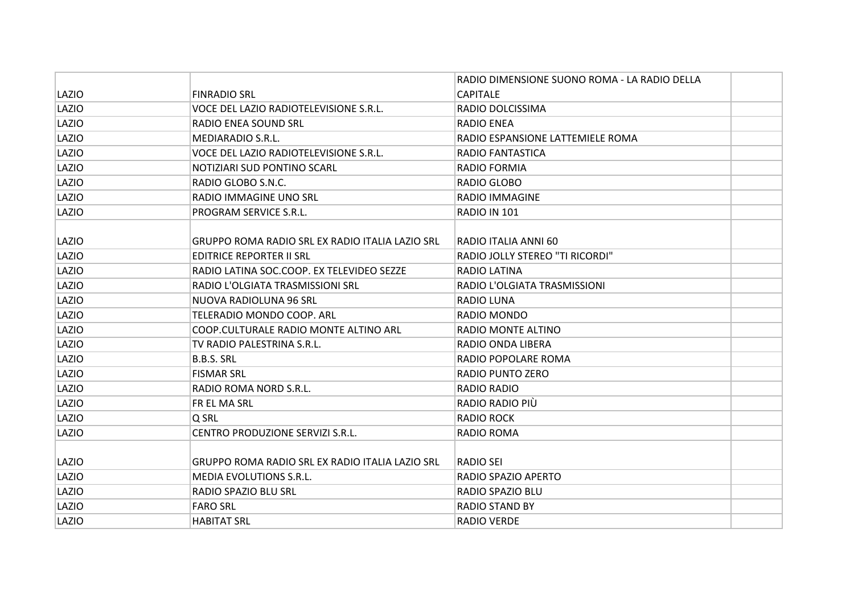|       |                                                 | RADIO DIMENSIONE SUONO ROMA - LA RADIO DELLA |  |
|-------|-------------------------------------------------|----------------------------------------------|--|
| LAZIO | <b>FINRADIO SRL</b>                             | <b>CAPITALE</b>                              |  |
| LAZIO | VOCE DEL LAZIO RADIOTELEVISIONE S.R.L.          | RADIO DOLCISSIMA                             |  |
| LAZIO | RADIO ENEA SOUND SRL                            | <b>RADIO ENEA</b>                            |  |
| LAZIO | <b>MEDIARADIO S.R.L.</b>                        | RADIO ESPANSIONE LATTEMIELE ROMA             |  |
| LAZIO | VOCE DEL LAZIO RADIOTELEVISIONE S.R.L.          | RADIO FANTASTICA                             |  |
| LAZIO | NOTIZIARI SUD PONTINO SCARL                     | RADIO FORMIA                                 |  |
| LAZIO | RADIO GLOBO S.N.C.                              | RADIO GLOBO                                  |  |
| LAZIO | RADIO IMMAGINE UNO SRL                          | <b>RADIO IMMAGINE</b>                        |  |
| LAZIO | PROGRAM SERVICE S.R.L.                          | RADIO IN 101                                 |  |
|       |                                                 |                                              |  |
| LAZIO | GRUPPO ROMA RADIO SRL EX RADIO ITALIA LAZIO SRL | RADIO ITALIA ANNI 60                         |  |
| LAZIO | EDITRICE REPORTER II SRL                        | <b>RADIO JOLLY STEREO "TI RICORDI"</b>       |  |
| LAZIO | RADIO LATINA SOC.COOP. EX TELEVIDEO SEZZE       | RADIO LATINA                                 |  |
| LAZIO | RADIO L'OLGIATA TRASMISSIONI SRL                | RADIO L'OLGIATA TRASMISSIONI                 |  |
| LAZIO | NUOVA RADIOLUNA 96 SRL                          | RADIO LUNA                                   |  |
| LAZIO | TELERADIO MONDO COOP. ARL                       | RADIO MONDO                                  |  |
| LAZIO | COOP.CULTURALE RADIO MONTE ALTINO ARL           | RADIO MONTE ALTINO                           |  |
| LAZIO | TV RADIO PALESTRINA S.R.L.                      | RADIO ONDA LIBERA                            |  |
| LAZIO | <b>B.B.S. SRL</b>                               | RADIO POPOLARE ROMA                          |  |
| LAZIO | <b>FISMAR SRL</b>                               | <b>RADIO PUNTO ZERO</b>                      |  |
| LAZIO | RADIO ROMA NORD S.R.L.                          | RADIO RADIO                                  |  |
| LAZIO | FR EL MA SRL                                    | RADIO RADIO PIÙ                              |  |
| LAZIO | Q SRL                                           | RADIO ROCK                                   |  |
| LAZIO | CENTRO PRODUZIONE SERVIZI S.R.L.                | RADIO ROMA                                   |  |
|       |                                                 |                                              |  |
| LAZIO | GRUPPO ROMA RADIO SRL EX RADIO ITALIA LAZIO SRL | RADIO SEI                                    |  |
| LAZIO | <b>MEDIA EVOLUTIONS S.R.L.</b>                  | RADIO SPAZIO APERTO                          |  |
| LAZIO | <b>RADIO SPAZIO BLU SRL</b>                     | RADIO SPAZIO BLU                             |  |
| LAZIO | <b>FARO SRL</b>                                 | <b>RADIO STAND BY</b>                        |  |
| LAZIO | <b>HABITAT SRL</b>                              | <b>RADIO VERDE</b>                           |  |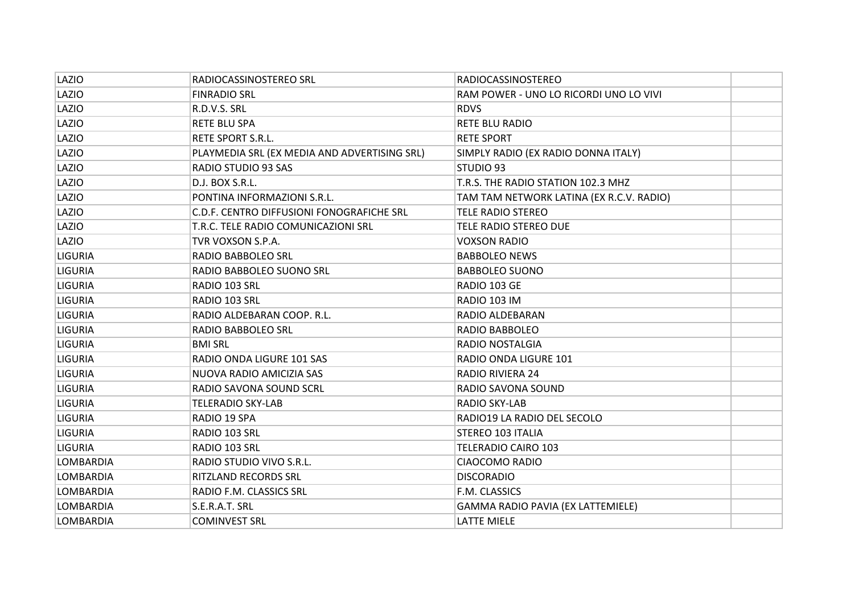| LAZIO            | RADIOCASSINOSTEREO SRL                       | RADIOCASSINOSTEREO                       |  |
|------------------|----------------------------------------------|------------------------------------------|--|
| LAZIO            | <b>FINRADIO SRL</b>                          | RAM POWER - UNO LO RICORDI UNO LO VIVI   |  |
| LAZIO            | R.D.V.S. SRL                                 | <b>RDVS</b>                              |  |
| LAZIO            | <b>RETE BLU SPA</b>                          | <b>RETE BLU RADIO</b>                    |  |
| LAZIO            | RETE SPORT S.R.L.                            | <b>RETE SPORT</b>                        |  |
| LAZIO            | PLAYMEDIA SRL (EX MEDIA AND ADVERTISING SRL) | SIMPLY RADIO (EX RADIO DONNA ITALY)      |  |
| LAZIO            | RADIO STUDIO 93 SAS                          | STUDIO 93                                |  |
| LAZIO            | D.J. BOX S.R.L.                              | T.R.S. THE RADIO STATION 102.3 MHZ       |  |
| LAZIO            | PONTINA INFORMAZIONI S.R.L.                  | TAM TAM NETWORK LATINA (EX R.C.V. RADIO) |  |
| LAZIO            | C.D.F. CENTRO DIFFUSIONI FONOGRAFICHE SRL    | <b>TELE RADIO STEREO</b>                 |  |
| LAZIO            | T.R.C. TELE RADIO COMUNICAZIONI SRL          | TELE RADIO STEREO DUE                    |  |
| LAZIO            | TVR VOXSON S.P.A.                            | <b>VOXSON RADIO</b>                      |  |
| <b>LIGURIA</b>   | <b>RADIO BABBOLEO SRL</b>                    | <b>BABBOLEO NEWS</b>                     |  |
| <b>LIGURIA</b>   | RADIO BABBOLEO SUONO SRL                     | <b>BABBOLEO SUONO</b>                    |  |
| <b>LIGURIA</b>   | RADIO 103 SRL                                | RADIO 103 GE                             |  |
| <b>LIGURIA</b>   | RADIO 103 SRL                                | RADIO 103 IM                             |  |
| <b>LIGURIA</b>   | RADIO ALDEBARAN COOP. R.L.                   | RADIO ALDEBARAN                          |  |
| <b>LIGURIA</b>   | RADIO BABBOLEO SRL                           | RADIO BABBOLEO                           |  |
| <b>LIGURIA</b>   | <b>BMI SRL</b>                               | RADIO NOSTALGIA                          |  |
| <b>LIGURIA</b>   | RADIO ONDA LIGURE 101 SAS                    | RADIO ONDA LIGURE 101                    |  |
| <b>LIGURIA</b>   | NUOVA RADIO AMICIZIA SAS                     | <b>RADIO RIVIERA 24</b>                  |  |
| <b>LIGURIA</b>   | RADIO SAVONA SOUND SCRL                      | RADIO SAVONA SOUND                       |  |
| <b>LIGURIA</b>   | TELERADIO SKY-LAB                            | <b>RADIO SKY-LAB</b>                     |  |
| <b>LIGURIA</b>   | RADIO 19 SPA                                 | RADIO19 LA RADIO DEL SECOLO              |  |
| <b>LIGURIA</b>   | RADIO 103 SRL                                | <b>STEREO 103 ITALIA</b>                 |  |
| <b>LIGURIA</b>   | RADIO 103 SRL                                | TELERADIO CAIRO 103                      |  |
| LOMBARDIA        | RADIO STUDIO VIVO S.R.L.                     | <b>CIAOCOMO RADIO</b>                    |  |
| LOMBARDIA        | RITZLAND RECORDS SRL                         | <b>DISCORADIO</b>                        |  |
| LOMBARDIA        | RADIO F.M. CLASSICS SRL                      | F.M. CLASSICS                            |  |
| LOMBARDIA        | S.E.R.A.T. SRL                               | GAMMA RADIO PAVIA (EX LATTEMIELE)        |  |
| <b>LOMBARDIA</b> | <b>COMINVEST SRL</b>                         | <b>LATTE MIELE</b>                       |  |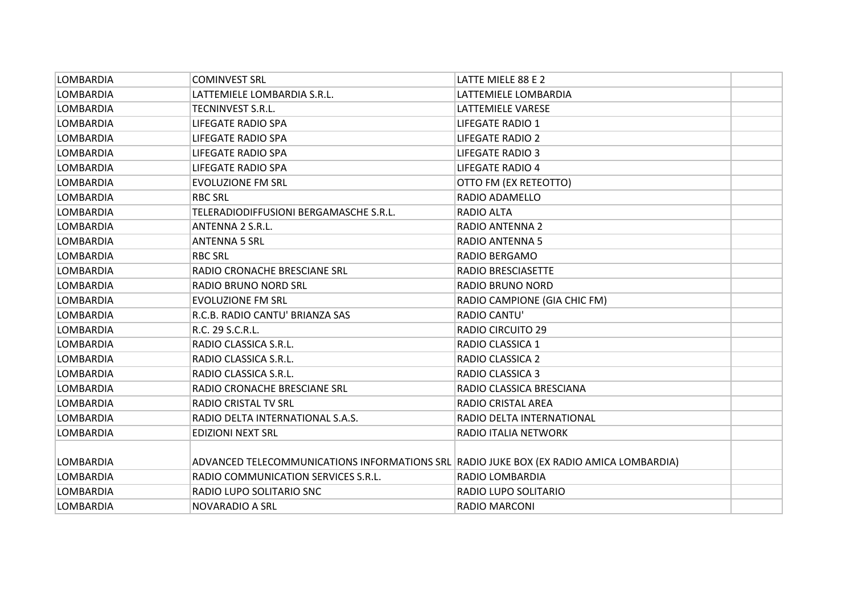| <b>LOMBARDIA</b> | <b>COMINVEST SRL</b>                                                                   | LATTE MIELE 88 E 2           |  |
|------------------|----------------------------------------------------------------------------------------|------------------------------|--|
| LOMBARDIA        | LATTEMIELE LOMBARDIA S.R.L.                                                            | LATTEMIELE LOMBARDIA         |  |
| LOMBARDIA        | TECNINVEST S.R.L.                                                                      | LATTEMIELE VARESE            |  |
| <b>LOMBARDIA</b> | <b>LIFEGATE RADIO SPA</b>                                                              | LIFEGATE RADIO 1             |  |
| <b>LOMBARDIA</b> | <b>LIFEGATE RADIO SPA</b>                                                              | <b>LIFEGATE RADIO 2</b>      |  |
| LOMBARDIA        | LIFEGATE RADIO SPA                                                                     | LIFEGATE RADIO 3             |  |
| LOMBARDIA        | LIFEGATE RADIO SPA                                                                     | LIFEGATE RADIO 4             |  |
| LOMBARDIA        | <b>EVOLUZIONE FM SRL</b>                                                               | OTTO FM (EX RETEOTTO)        |  |
| <b>LOMBARDIA</b> | <b>RBC SRL</b>                                                                         | RADIO ADAMELLO               |  |
| <b>LOMBARDIA</b> | TELERADIODIFFUSIONI BERGAMASCHE S.R.L.                                                 | RADIO ALTA                   |  |
| <b>LOMBARDIA</b> | ANTENNA 2 S.R.L.                                                                       | RADIO ANTENNA 2              |  |
| LOMBARDIA        | <b>ANTENNA 5 SRL</b>                                                                   | RADIO ANTENNA 5              |  |
| LOMBARDIA        | <b>RBC SRL</b>                                                                         | RADIO BERGAMO                |  |
| <b>LOMBARDIA</b> | RADIO CRONACHE BRESCIANE SRL                                                           | <b>RADIO BRESCIASETTE</b>    |  |
| <b>LOMBARDIA</b> | RADIO BRUNO NORD SRL                                                                   | <b>RADIO BRUNO NORD</b>      |  |
| <b>LOMBARDIA</b> | <b>EVOLUZIONE FM SRL</b>                                                               | RADIO CAMPIONE (GIA CHIC FM) |  |
| LOMBARDIA        | R.C.B. RADIO CANTU' BRIANZA SAS                                                        | <b>RADIO CANTU'</b>          |  |
| LOMBARDIA        | R.C. 29 S.C.R.L.                                                                       | RADIO CIRCUITO 29            |  |
| LOMBARDIA        | RADIO CLASSICA S.R.L.                                                                  | RADIO CLASSICA 1             |  |
| <b>LOMBARDIA</b> | RADIO CLASSICA S.R.L.                                                                  | <b>RADIO CLASSICA 2</b>      |  |
| <b>LOMBARDIA</b> | RADIO CLASSICA S.R.L.                                                                  | RADIO CLASSICA 3             |  |
| <b>LOMBARDIA</b> | RADIO CRONACHE BRESCIANE SRL                                                           | RADIO CLASSICA BRESCIANA     |  |
| LOMBARDIA        | RADIO CRISTAL TV SRL                                                                   | RADIO CRISTAL AREA           |  |
| LOMBARDIA        | RADIO DELTA INTERNATIONAL S.A.S.                                                       | RADIO DELTA INTERNATIONAL    |  |
| LOMBARDIA        | <b>EDIZIONI NEXT SRL</b>                                                               | RADIO ITALIA NETWORK         |  |
|                  |                                                                                        |                              |  |
| LOMBARDIA        | ADVANCED TELECOMMUNICATIONS INFORMATIONS SRL RADIO JUKE BOX (EX RADIO AMICA LOMBARDIA) |                              |  |
| <b>LOMBARDIA</b> | RADIO COMMUNICATION SERVICES S.R.L.                                                    | RADIO LOMBARDIA              |  |
| LOMBARDIA        | RADIO LUPO SOLITARIO SNC                                                               | RADIO LUPO SOLITARIO         |  |
| <b>LOMBARDIA</b> | NOVARADIO A SRL                                                                        | RADIO MARCONI                |  |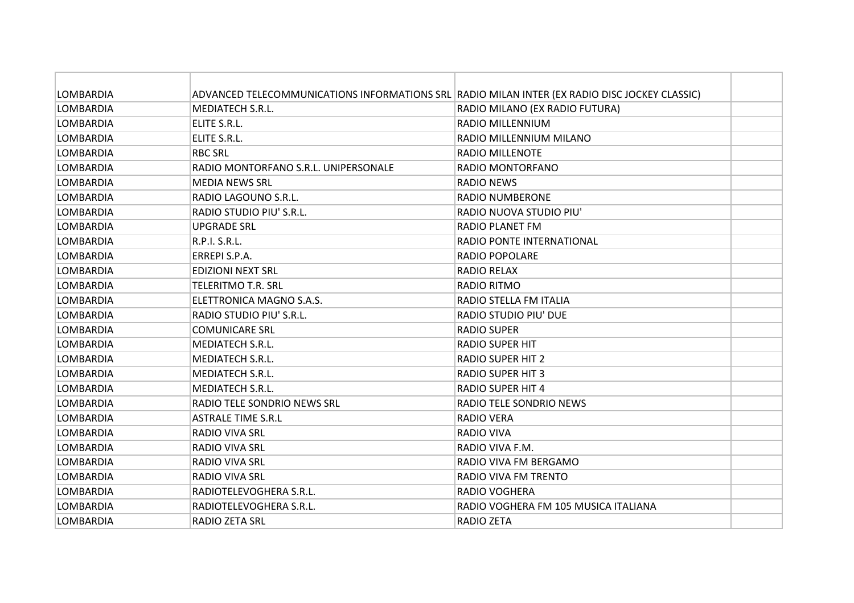| <b>LOMBARDIA</b> | ADVANCED TELECOMMUNICATIONS INFORMATIONS SRL RADIO MILAN INTER (EX RADIO DISC JOCKEY CLASSIC) |                                      |  |
|------------------|-----------------------------------------------------------------------------------------------|--------------------------------------|--|
| LOMBARDIA        | <b>MEDIATECH S.R.L.</b>                                                                       | RADIO MILANO (EX RADIO FUTURA)       |  |
| LOMBARDIA        | ELITE S.R.L.                                                                                  | <b>RADIO MILLENNIUM</b>              |  |
| <b>LOMBARDIA</b> | ELITE S.R.L.                                                                                  | <b>RADIO MILLENNIUM MILANO</b>       |  |
| LOMBARDIA        | <b>RBC SRL</b>                                                                                | <b>RADIO MILLENOTE</b>               |  |
| <b>LOMBARDIA</b> | RADIO MONTORFANO S.R.L. UNIPERSONALE                                                          | RADIO MONTORFANO                     |  |
| LOMBARDIA        | <b>MEDIA NEWS SRL</b>                                                                         | <b>RADIO NEWS</b>                    |  |
| LOMBARDIA        | RADIO LAGOUNO S.R.L.                                                                          | <b>RADIO NUMBERONE</b>               |  |
| <b>LOMBARDIA</b> | RADIO STUDIO PIU' S.R.L.                                                                      | RADIO NUOVA STUDIO PIU'              |  |
| LOMBARDIA        | <b>UPGRADE SRL</b>                                                                            | RADIO PLANET FM                      |  |
| <b>LOMBARDIA</b> | R.P.I. S.R.L.                                                                                 | <b>RADIO PONTE INTERNATIONAL</b>     |  |
| LOMBARDIA        | ERREPI S.P.A.                                                                                 | <b>RADIO POPOLARE</b>                |  |
| <b>LOMBARDIA</b> | <b>EDIZIONI NEXT SRL</b>                                                                      | <b>RADIO RELAX</b>                   |  |
| LOMBARDIA        | <b>TELERITMO T.R. SRL</b>                                                                     | <b>RADIO RITMO</b>                   |  |
| <b>LOMBARDIA</b> | ELETTRONICA MAGNO S.A.S.                                                                      | RADIO STELLA FM ITALIA               |  |
| LOMBARDIA        | RADIO STUDIO PIU' S.R.L.                                                                      | <b>RADIO STUDIO PIU' DUE</b>         |  |
| LOMBARDIA        | <b>COMUNICARE SRL</b>                                                                         | <b>RADIO SUPER</b>                   |  |
| <b>LOMBARDIA</b> | <b>MEDIATECH S.R.L.</b>                                                                       | <b>RADIO SUPER HIT</b>               |  |
| <b>LOMBARDIA</b> | MEDIATECH S.R.L.                                                                              | <b>RADIO SUPER HIT 2</b>             |  |
| <b>LOMBARDIA</b> | <b>MEDIATECH S.R.L.</b>                                                                       | <b>RADIO SUPER HIT 3</b>             |  |
| LOMBARDIA        | <b>MEDIATECH S.R.L.</b>                                                                       | <b>RADIO SUPER HIT 4</b>             |  |
| <b>LOMBARDIA</b> | RADIO TELE SONDRIO NEWS SRL                                                                   | RADIO TELE SONDRIO NEWS              |  |
| <b>LOMBARDIA</b> | <b>ASTRALE TIME S.R.L</b>                                                                     | <b>RADIO VERA</b>                    |  |
| LOMBARDIA        | RADIO VIVA SRL                                                                                | RADIO VIVA                           |  |
| <b>LOMBARDIA</b> | <b>RADIO VIVA SRL</b>                                                                         | RADIO VIVA F.M.                      |  |
| LOMBARDIA        | RADIO VIVA SRL                                                                                | RADIO VIVA FM BERGAMO                |  |
| <b>LOMBARDIA</b> | <b>RADIO VIVA SRL</b>                                                                         | RADIO VIVA FM TRENTO                 |  |
| <b>LOMBARDIA</b> | RADIOTELEVOGHERA S.R.L.                                                                       | <b>RADIO VOGHERA</b>                 |  |
| LOMBARDIA        | RADIOTELEVOGHERA S.R.L.                                                                       | RADIO VOGHERA FM 105 MUSICA ITALIANA |  |
| <b>LOMBARDIA</b> | RADIO ZETA SRL                                                                                | RADIO ZETA                           |  |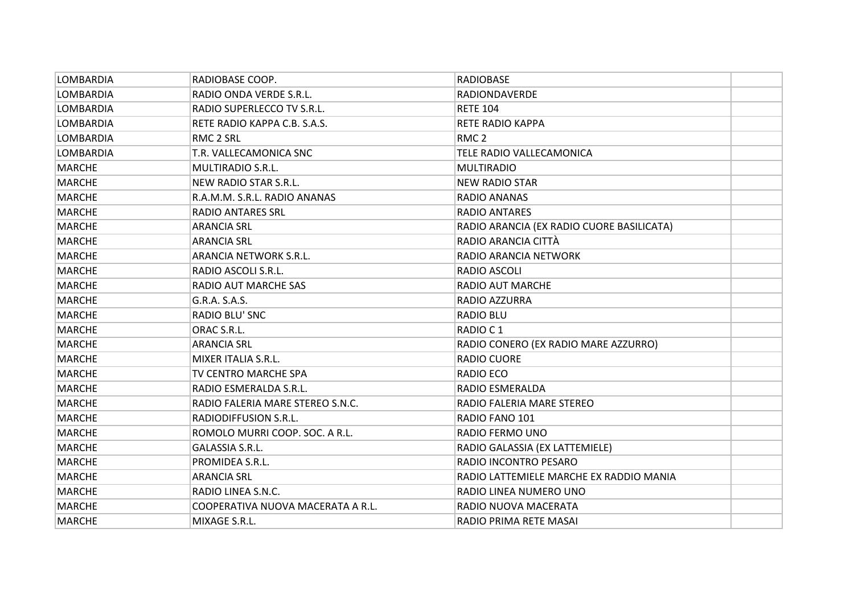| LOMBARDIA        | RADIOBASE COOP.                   | <b>RADIOBASE</b>                          |  |
|------------------|-----------------------------------|-------------------------------------------|--|
| <b>LOMBARDIA</b> | RADIO ONDA VERDE S.R.L.           | RADIONDAVERDE                             |  |
| <b>LOMBARDIA</b> | RADIO SUPERLECCO TV S.R.L.        | <b>RETE 104</b>                           |  |
| <b>LOMBARDIA</b> | RETE RADIO KAPPA C.B. S.A.S.      | <b>RETE RADIO KAPPA</b>                   |  |
| <b>LOMBARDIA</b> | RMC 2 SRL                         | RMC <sub>2</sub>                          |  |
| LOMBARDIA        | T.R. VALLECAMONICA SNC            | TELE RADIO VALLECAMONICA                  |  |
| <b>MARCHE</b>    | <b>MULTIRADIO S.R.L.</b>          | <b>MULTIRADIO</b>                         |  |
| <b>MARCHE</b>    | NEW RADIO STAR S.R.L.             | <b>NEW RADIO STAR</b>                     |  |
| <b>MARCHE</b>    | R.A.M.M. S.R.L. RADIO ANANAS      | RADIO ANANAS                              |  |
| <b>MARCHE</b>    | <b>RADIO ANTARES SRL</b>          | <b>RADIO ANTARES</b>                      |  |
| <b>MARCHE</b>    | <b>ARANCIA SRL</b>                | RADIO ARANCIA (EX RADIO CUORE BASILICATA) |  |
| <b>MARCHE</b>    | <b>ARANCIA SRL</b>                | RADIO ARANCIA CITTÀ                       |  |
| <b>MARCHE</b>    | ARANCIA NETWORK S.R.L.            | RADIO ARANCIA NETWORK                     |  |
| <b>MARCHE</b>    | RADIO ASCOLI S.R.L.               | RADIO ASCOLI                              |  |
| <b>MARCHE</b>    | <b>RADIO AUT MARCHE SAS</b>       | <b>RADIO AUT MARCHE</b>                   |  |
| <b>MARCHE</b>    | G.R.A. S.A.S.                     | RADIO AZZURRA                             |  |
| <b>MARCHE</b>    | RADIO BLU' SNC                    | RADIO BLU                                 |  |
| <b>MARCHE</b>    | ORAC S.R.L.                       | RADIO C1                                  |  |
| <b>MARCHE</b>    | <b>ARANCIA SRL</b>                | RADIO CONERO (EX RADIO MARE AZZURRO)      |  |
| <b>MARCHE</b>    | MIXER ITALIA S.R.L.               | <b>RADIO CUORE</b>                        |  |
| <b>MARCHE</b>    | TV CENTRO MARCHE SPA              | RADIO ECO                                 |  |
| <b>MARCHE</b>    | RADIO ESMERALDA S.R.L.            | RADIO ESMERALDA                           |  |
| <b>MARCHE</b>    | RADIO FALERIA MARE STEREO S.N.C.  | RADIO FALERIA MARE STEREO                 |  |
| <b>MARCHE</b>    | RADIODIFFUSION S.R.L.             | RADIO FANO 101                            |  |
| <b>MARCHE</b>    | ROMOLO MURRI COOP. SOC. A R.L.    | RADIO FERMO UNO                           |  |
| <b>MARCHE</b>    | GALASSIA S.R.L.                   | RADIO GALASSIA (EX LATTEMIELE)            |  |
| <b>MARCHE</b>    | PROMIDEA S.R.L.                   | RADIO INCONTRO PESARO                     |  |
| <b>MARCHE</b>    | <b>ARANCIA SRL</b>                | RADIO LATTEMIELE MARCHE EX RADDIO MANIA   |  |
| <b>MARCHE</b>    | RADIO LINEA S.N.C.                | RADIO LINEA NUMERO UNO                    |  |
| <b>MARCHE</b>    | COOPERATIVA NUOVA MACERATA A R.L. | RADIO NUOVA MACERATA                      |  |
| <b>MARCHE</b>    | MIXAGE S.R.L.                     | RADIO PRIMA RETE MASAI                    |  |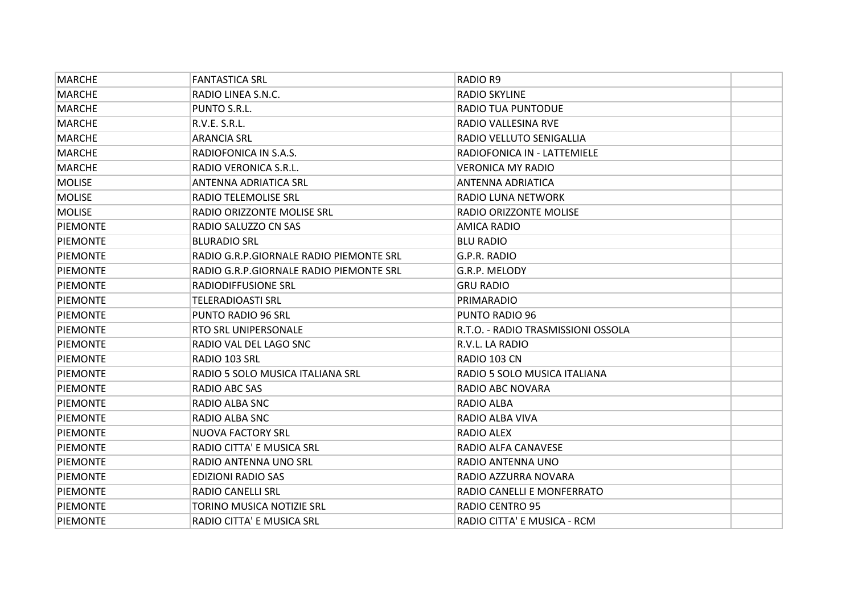| MARCHE          | <b>FANTASTICA SRL</b>                   | RADIO R9                           |  |
|-----------------|-----------------------------------------|------------------------------------|--|
| <b>MARCHE</b>   | RADIO LINEA S.N.C.                      | <b>RADIO SKYLINE</b>               |  |
| <b>MARCHE</b>   | PUNTO S.R.L.                            | RADIO TUA PUNTODUE                 |  |
| <b>MARCHE</b>   | R.V.E. S.R.L.                           | RADIO VALLESINA RVE                |  |
| <b>MARCHE</b>   | <b>ARANCIA SRL</b>                      | RADIO VELLUTO SENIGALLIA           |  |
| MARCHE          | RADIOFONICA IN S.A.S.                   | RADIOFONICA IN - LATTEMIELE        |  |
| <b>MARCHE</b>   | RADIO VERONICA S.R.L.                   | <b>VERONICA MY RADIO</b>           |  |
| <b>MOLISE</b>   | ANTENNA ADRIATICA SRL                   | ANTENNA ADRIATICA                  |  |
| <b>MOLISE</b>   | <b>RADIO TELEMOLISE SRL</b>             | <b>RADIO LUNA NETWORK</b>          |  |
| <b>MOLISE</b>   | RADIO ORIZZONTE MOLISE SRL              | RADIO ORIZZONTE MOLISE             |  |
| <b>PIEMONTE</b> | RADIO SALUZZO CN SAS                    | AMICA RADIO                        |  |
| PIEMONTE        | <b>BLURADIO SRL</b>                     | <b>BLU RADIO</b>                   |  |
| PIEMONTE        | RADIO G.R.P.GIORNALE RADIO PIEMONTE SRL | G.P.R. RADIO                       |  |
| <b>PIEMONTE</b> | RADIO G.R.P.GIORNALE RADIO PIEMONTE SRL | G.R.P. MELODY                      |  |
| PIEMONTE        | RADIODIFFUSIONE SRL                     | <b>GRU RADIO</b>                   |  |
| <b>PIEMONTE</b> | <b>TELERADIOASTI SRL</b>                | PRIMARADIO                         |  |
| <b>PIEMONTE</b> | <b>PUNTO RADIO 96 SRL</b>               | PUNTO RADIO 96                     |  |
| <b>PIEMONTE</b> | <b>RTO SRL UNIPERSONALE</b>             | R.T.O. - RADIO TRASMISSIONI OSSOLA |  |
| <b>PIEMONTE</b> | RADIO VAL DEL LAGO SNC                  | R.V.L. LA RADIO                    |  |
| <b>PIEMONTE</b> | RADIO 103 SRL                           | RADIO 103 CN                       |  |
| <b>PIEMONTE</b> | RADIO 5 SOLO MUSICA ITALIANA SRL        | RADIO 5 SOLO MUSICA ITALIANA       |  |
| PIEMONTE        | RADIO ABC SAS                           | RADIO ABC NOVARA                   |  |
| <b>PIEMONTE</b> | RADIO ALBA SNC                          | RADIO ALBA                         |  |
| PIEMONTE        | RADIO ALBA SNC                          | RADIO ALBA VIVA                    |  |
| PIEMONTE        | <b>NUOVA FACTORY SRL</b>                | RADIO ALEX                         |  |
| <b>PIEMONTE</b> | RADIO CITTA' E MUSICA SRL               | RADIO ALFA CANAVESE                |  |
| <b>PIEMONTE</b> | RADIO ANTENNA UNO SRL                   | RADIO ANTENNA UNO                  |  |
| <b>PIEMONTE</b> | <b>EDIZIONI RADIO SAS</b>               | RADIO AZZURRA NOVARA               |  |
| <b>PIEMONTE</b> | <b>RADIO CANELLI SRL</b>                | RADIO CANELLI E MONFERRATO         |  |
| <b>PIEMONTE</b> | TORINO MUSICA NOTIZIE SRL               | RADIO CENTRO 95                    |  |
| <b>PIEMONTE</b> | RADIO CITTA' E MUSICA SRL               | RADIO CITTA' E MUSICA - RCM        |  |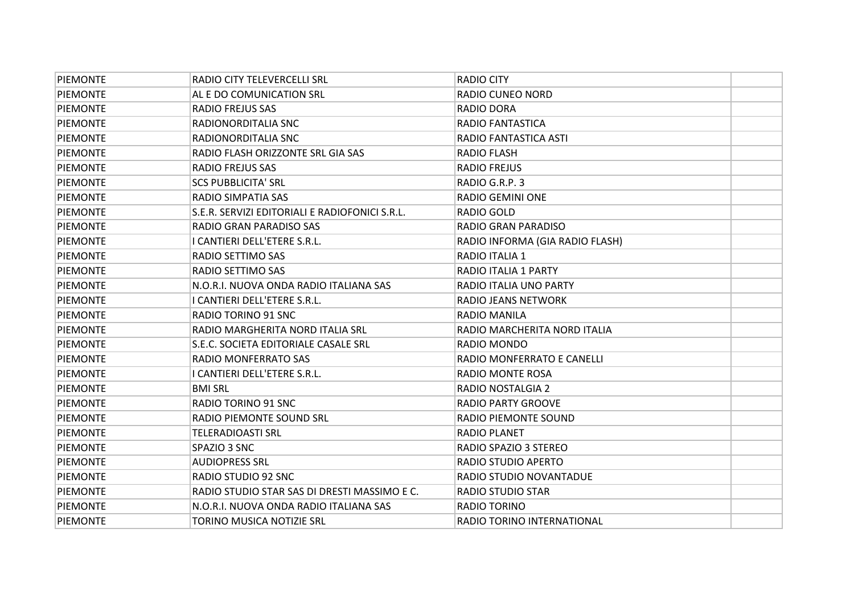| <b>PIEMONTE</b> | RADIO CITY TELEVERCELLI SRL                    | <b>RADIO CITY</b>               |  |
|-----------------|------------------------------------------------|---------------------------------|--|
| <b>PIEMONTE</b> | AL E DO COMUNICATION SRL                       | <b>RADIO CUNEO NORD</b>         |  |
| <b>PIEMONTE</b> | RADIO FREJUS SAS                               | RADIO DORA                      |  |
| <b>PIEMONTE</b> | RADIONORDITALIA SNC                            | RADIO FANTASTICA                |  |
| <b>PIEMONTE</b> | RADIONORDITALIA SNC                            | RADIO FANTASTICA ASTI           |  |
| <b>PIEMONTE</b> | RADIO FLASH ORIZZONTE SRL GIA SAS              | <b>RADIO FLASH</b>              |  |
| <b>PIEMONTE</b> | <b>RADIO FREJUS SAS</b>                        | <b>RADIO FREJUS</b>             |  |
| <b>PIEMONTE</b> | <b>SCS PUBBLICITA' SRL</b>                     | RADIO G.R.P. 3                  |  |
| <b>PIEMONTE</b> | RADIO SIMPATIA SAS                             | <b>RADIO GEMINI ONE</b>         |  |
| <b>PIEMONTE</b> | S.E.R. SERVIZI EDITORIALI E RADIOFONICI S.R.L. | <b>RADIO GOLD</b>               |  |
| <b>PIEMONTE</b> | RADIO GRAN PARADISO SAS                        | RADIO GRAN PARADISO             |  |
| <b>PIEMONTE</b> | I CANTIERI DELL'ETERE S.R.L.                   | RADIO INFORMA (GIA RADIO FLASH) |  |
| <b>PIEMONTE</b> | RADIO SETTIMO SAS                              | RADIO ITALIA 1                  |  |
| PIEMONTE        | RADIO SETTIMO SAS                              | <b>RADIO ITALIA 1 PARTY</b>     |  |
| <b>PIEMONTE</b> | N.O.R.I. NUOVA ONDA RADIO ITALIANA SAS         | RADIO ITALIA UNO PARTY          |  |
| <b>PIEMONTE</b> | I CANTIERI DELL'ETERE S.R.L.                   | <b>RADIO JEANS NETWORK</b>      |  |
| <b>PIEMONTE</b> | RADIO TORINO 91 SNC                            | <b>RADIO MANILA</b>             |  |
| <b>PIEMONTE</b> | RADIO MARGHERITA NORD ITALIA SRL               | RADIO MARCHERITA NORD ITALIA    |  |
| <b>PIEMONTE</b> | S.E.C. SOCIETA EDITORIALE CASALE SRL           | RADIO MONDO                     |  |
| <b>PIEMONTE</b> | RADIO MONFERRATO SAS                           | RADIO MONFERRATO E CANELLI      |  |
| PIEMONTE        | I CANTIERI DELL'ETERE S.R.L.                   | <b>RADIO MONTE ROSA</b>         |  |
| <b>PIEMONTE</b> | <b>BMI SRL</b>                                 | <b>RADIO NOSTALGIA 2</b>        |  |
| <b>PIEMONTE</b> | RADIO TORINO 91 SNC                            | <b>RADIO PARTY GROOVE</b>       |  |
| <b>PIEMONTE</b> | RADIO PIEMONTE SOUND SRL                       | RADIO PIEMONTE SOUND            |  |
| <b>PIEMONTE</b> | <b>TELERADIOASTI SRL</b>                       | <b>RADIO PLANET</b>             |  |
| PIEMONTE        | SPAZIO 3 SNC                                   | RADIO SPAZIO 3 STEREO           |  |
| <b>PIEMONTE</b> | <b>AUDIOPRESS SRL</b>                          | <b>RADIO STUDIO APERTO</b>      |  |
| <b>PIEMONTE</b> | RADIO STUDIO 92 SNC                            | RADIO STUDIO NOVANTADUE         |  |
| <b>PIEMONTE</b> | RADIO STUDIO STAR SAS DI DRESTI MASSIMO E C.   | <b>RADIO STUDIO STAR</b>        |  |
| <b>PIEMONTE</b> | N.O.R.I. NUOVA ONDA RADIO ITALIANA SAS         | <b>RADIO TORINO</b>             |  |
| <b>PIEMONTE</b> | <b>TORINO MUSICA NOTIZIE SRL</b>               | RADIO TORINO INTERNATIONAL      |  |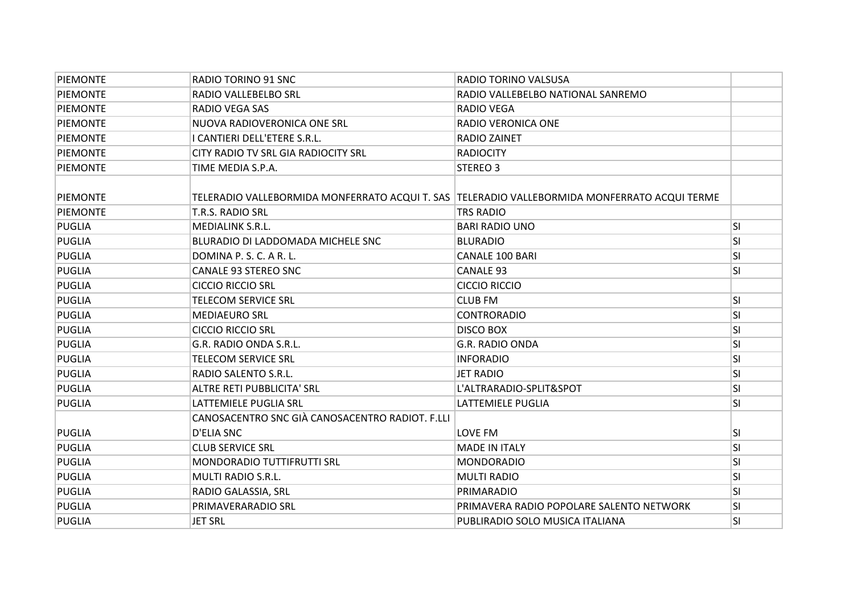| <b>PIEMONTE</b> | RADIO TORINO 91 SNC                             | RADIO TORINO VALSUSA                                                                          |           |
|-----------------|-------------------------------------------------|-----------------------------------------------------------------------------------------------|-----------|
| <b>PIEMONTE</b> | RADIO VALLEBELBO SRL                            | RADIO VALLEBELBO NATIONAL SANREMO                                                             |           |
| <b>PIEMONTE</b> | RADIO VEGA SAS                                  | RADIO VEGA                                                                                    |           |
| <b>PIEMONTE</b> | NUOVA RADIOVERONICA ONE SRL                     | <b>RADIO VERONICA ONE</b>                                                                     |           |
| <b>PIEMONTE</b> | I CANTIERI DELL'ETERE S.R.L.                    | <b>RADIO ZAINET</b>                                                                           |           |
| <b>PIEMONTE</b> | CITY RADIO TV SRL GIA RADIOCITY SRL             | <b>RADIOCITY</b>                                                                              |           |
| <b>PIEMONTE</b> | TIME MEDIA S.P.A.                               | STEREO <sub>3</sub>                                                                           |           |
|                 |                                                 |                                                                                               |           |
| <b>PIEMONTE</b> |                                                 | TELERADIO VALLEBORMIDA MONFERRATO ACQUI T. SAS  TELERADIO VALLEBORMIDA MONFERRATO ACQUI TERME |           |
| <b>PIEMONTE</b> | T.R.S. RADIO SRL                                | <b>TRS RADIO</b>                                                                              |           |
| PUGLIA          | <b>MEDIALINK S.R.L.</b>                         | <b>BARI RADIO UNO</b>                                                                         | SI.       |
| PUGLIA          | BLURADIO DI LADDOMADA MICHELE SNC               | <b>BLURADIO</b>                                                                               | lsı       |
| <b>PUGLIA</b>   | DOMINA P. S. C. A R. L.                         | <b>CANALE 100 BARI</b>                                                                        | SI        |
| <b>PUGLIA</b>   | <b>CANALE 93 STEREO SNC</b>                     | <b>CANALE 93</b>                                                                              | <b>SI</b> |
| <b>PUGLIA</b>   | <b>CICCIO RICCIO SRL</b>                        | <b>CICCIO RICCIO</b>                                                                          |           |
| PUGLIA          | TELECOM SERVICE SRL                             | <b>CLUB FM</b>                                                                                | lsı       |
| PUGLIA          | <b>MEDIAEURO SRL</b>                            | <b>CONTRORADIO</b>                                                                            | lsı       |
| <b>PUGLIA</b>   | <b>CICCIO RICCIO SRL</b>                        | <b>DISCO BOX</b>                                                                              | lsı       |
| PUGLIA          | G.R. RADIO ONDA S.R.L.                          | <b>G.R. RADIO ONDA</b>                                                                        | lsı       |
| <b>PUGLIA</b>   | TELECOM SERVICE SRL                             | <b>INFORADIO</b>                                                                              | <b>SI</b> |
| <b>PUGLIA</b>   | RADIO SALENTO S.R.L.                            | <b>JET RADIO</b>                                                                              | <b>SI</b> |
| <b>PUGLIA</b>   | <b>ALTRE RETI PUBBLICITA' SRL</b>               | L'ALTRARADIO-SPLIT&SPOT                                                                       | <b>SI</b> |
| PUGLIA          | <b>LATTEMIELE PUGLIA SRL</b>                    | LATTEMIELE PUGLIA                                                                             | <b>SI</b> |
|                 | CANOSACENTRO SNC GIÀ CANOSACENTRO RADIOT. F.LLI |                                                                                               |           |
| PUGLIA          | <b>D'ELIA SNC</b>                               | LOVE FM                                                                                       | lsı       |
| PUGLIA          | <b>CLUB SERVICE SRL</b>                         | <b>MADE IN ITALY</b>                                                                          | lsı       |
| <b>PUGLIA</b>   | <b>MONDORADIO TUTTIFRUTTI SRL</b>               | <b>MONDORADIO</b>                                                                             | SI        |
| <b>PUGLIA</b>   | MULTI RADIO S.R.L.                              | <b>MULTI RADIO</b>                                                                            | <b>SI</b> |
| PUGLIA          | RADIO GALASSIA, SRL                             | PRIMARADIO                                                                                    | lsı       |
| PUGLIA          | PRIMAVERARADIO SRL                              | PRIMAVERA RADIO POPOLARE SALENTO NETWORK                                                      | lsı       |
| <b>PUGLIA</b>   | <b>JET SRL</b>                                  | PUBLIRADIO SOLO MUSICA ITALIANA                                                               | lsı       |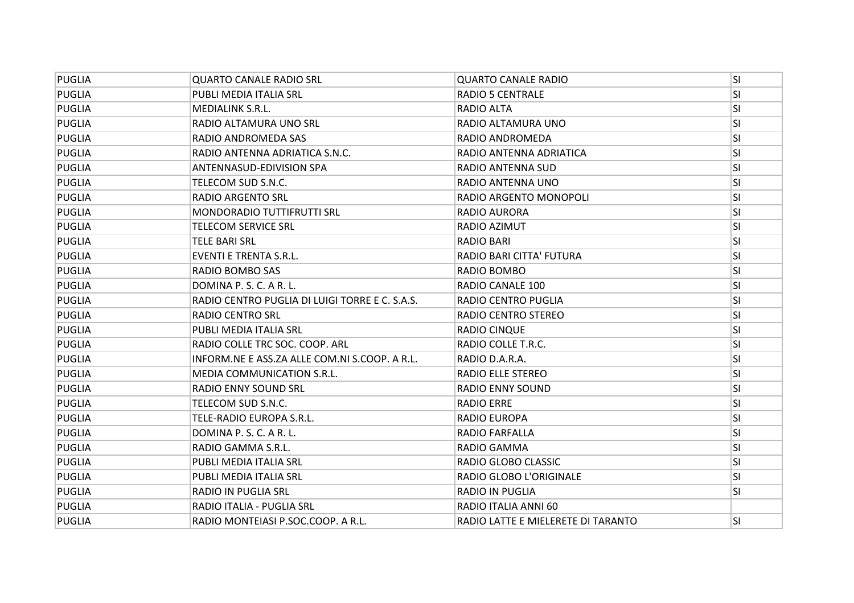| PUGLIA        | <b>QUARTO CANALE RADIO SRL</b>                 | <b>QUARTO CANALE RADIO</b>         | SI        |
|---------------|------------------------------------------------|------------------------------------|-----------|
| PUGLIA        | PUBLI MEDIA ITALIA SRL                         | <b>RADIO 5 CENTRALE</b>            | SI        |
| <b>PUGLIA</b> | MEDIALINK S.R.L.                               | RADIO ALTA                         | SI        |
| PUGLIA        | RADIO ALTAMURA UNO SRL                         | RADIO ALTAMURA UNO                 | <b>SI</b> |
| PUGLIA        | RADIO ANDROMEDA SAS                            | RADIO ANDROMEDA                    | lsı       |
| PUGLIA        | RADIO ANTENNA ADRIATICA S.N.C.                 | RADIO ANTENNA ADRIATICA            | lsı       |
| PUGLIA        | ANTENNASUD-EDIVISION SPA                       | RADIO ANTENNA SUD                  | <b>SI</b> |
| <b>PUGLIA</b> | TELECOM SUD S.N.C.                             | RADIO ANTENNA UNO                  | <b>SI</b> |
| <b>PUGLIA</b> | <b>RADIO ARGENTO SRL</b>                       | RADIO ARGENTO MONOPOLI             | <b>SI</b> |
| PUGLIA        | <b>MONDORADIO TUTTIFRUTTI SRL</b>              | <b>RADIO AURORA</b>                | <b>SI</b> |
| PUGLIA        | <b>TELECOM SERVICE SRL</b>                     | RADIO AZIMUT                       | lsı       |
| PUGLIA        | TELE BARI SRL                                  | <b>RADIO BARI</b>                  | lsı       |
| <b>PUGLIA</b> | <b>EVENTI E TRENTA S.R.L.</b>                  | RADIO BARI CITTA' FUTURA           | <b>SI</b> |
| <b>PUGLIA</b> | <b>RADIO BOMBO SAS</b>                         | RADIO BOMBO                        | <b>SI</b> |
| <b>PUGLIA</b> | DOMINA P. S. C. A R. L.                        | RADIO CANALE 100                   | <b>SI</b> |
| PUGLIA        | RADIO CENTRO PUGLIA DI LUIGI TORRE E C. S.A.S. | RADIO CENTRO PUGLIA                | lsı       |
| PUGLIA        | <b>RADIO CENTRO SRL</b>                        | <b>RADIO CENTRO STEREO</b>         | SI        |
| <b>PUGLIA</b> | PUBLI MEDIA ITALIA SRL                         | <b>RADIO CINQUE</b>                | <b>SI</b> |
| PUGLIA        | RADIO COLLE TRC SOC. COOP. ARL                 | RADIO COLLE T.R.C.                 | lsı       |
| <b>PUGLIA</b> | INFORM.NE E ASS.ZA ALLE COM.NI S.COOP. A R.L.  | RADIO D.A.R.A.                     | <b>SI</b> |
| <b>PUGLIA</b> | MEDIA COMMUNICATION S.R.L.                     | <b>RADIO ELLE STEREO</b>           | <b>SI</b> |
| <b>PUGLIA</b> | <b>RADIO ENNY SOUND SRL</b>                    | <b>RADIO ENNY SOUND</b>            | SI        |
| PUGLIA        | TELECOM SUD S.N.C.                             | <b>RADIO ERRE</b>                  | <b>SI</b> |
| PUGLIA        | TELE-RADIO EUROPA S.R.L.                       | <b>RADIO EUROPA</b>                | lsı       |
| <b>PUGLIA</b> | DOMINA P. S. C. A R. L.                        | <b>RADIO FARFALLA</b>              | lsı       |
| <b>PUGLIA</b> | RADIO GAMMA S.R.L.                             | RADIO GAMMA                        | <b>SI</b> |
| <b>PUGLIA</b> | PUBLI MEDIA ITALIA SRL                         | RADIO GLOBO CLASSIC                | SI        |
| <b>PUGLIA</b> | PUBLI MEDIA ITALIA SRL                         | RADIO GLOBO L'ORIGINALE            | <b>SI</b> |
| PUGLIA        | <b>RADIO IN PUGLIA SRL</b>                     | <b>RADIO IN PUGLIA</b>             | SI        |
| PUGLIA        | RADIO ITALIA - PUGLIA SRL                      | RADIO ITALIA ANNI 60               |           |
| <b>PUGLIA</b> | RADIO MONTEIASI P.SOC.COOP. A R.L.             | RADIO LATTE E MIELERETE DI TARANTO | lsı       |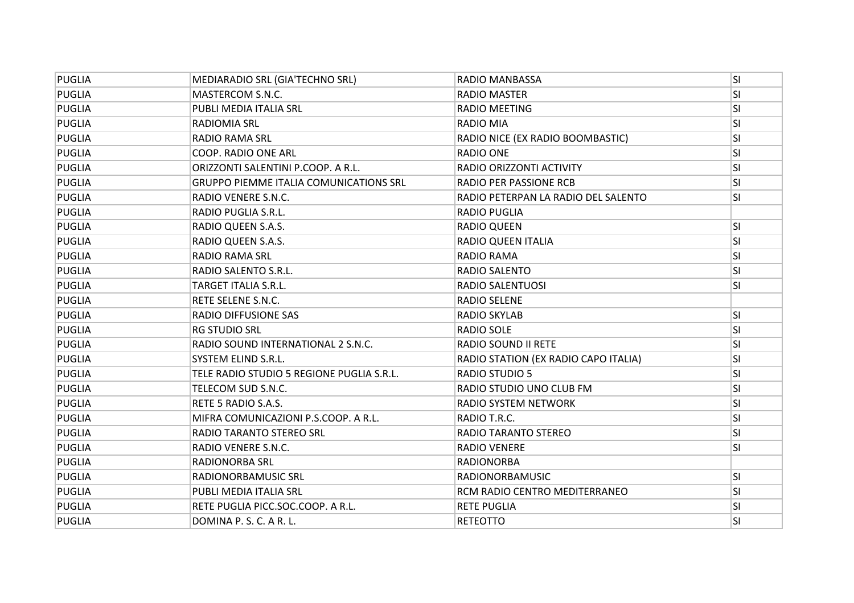| <b>PUGLIA</b> | MEDIARADIO SRL (GIA'TECHNO SRL)               | RADIO MANBASSA                       | <b>SI</b>               |
|---------------|-----------------------------------------------|--------------------------------------|-------------------------|
| PUGLIA        | MASTERCOM S.N.C.                              | <b>RADIO MASTER</b>                  | SI                      |
| <b>PUGLIA</b> | PUBLI MEDIA ITALIA SRL                        | RADIO MEETING                        | SI                      |
| PUGLIA        | RADIOMIA SRL                                  | RADIO MIA                            | <b>SI</b>               |
| PUGLIA        | <b>RADIO RAMA SRL</b>                         | RADIO NICE (EX RADIO BOOMBASTIC)     | <b>SI</b>               |
| PUGLIA        | COOP. RADIO ONE ARL                           | <b>RADIO ONE</b>                     | <b>SI</b>               |
| PUGLIA        | ORIZZONTI SALENTINI P.COOP. A R.L.            | RADIO ORIZZONTI ACTIVITY             | SI                      |
| <b>PUGLIA</b> | <b>GRUPPO PIEMME ITALIA COMUNICATIONS SRL</b> | RADIO PER PASSIONE RCB               | SI                      |
| <b>PUGLIA</b> | RADIO VENERE S.N.C.                           | RADIO PETERPAN LA RADIO DEL SALENTO  | SI                      |
| PUGLIA        | RADIO PUGLIA S.R.L.                           | <b>RADIO PUGLIA</b>                  |                         |
| PUGLIA        | RADIO QUEEN S.A.S.                            | RADIO QUEEN                          | <b>SI</b>               |
| PUGLIA        | RADIO QUEEN S.A.S.                            | <b>RADIO QUEEN ITALIA</b>            | $\overline{\mathsf{S}}$ |
| <b>PUGLIA</b> | <b>RADIO RAMA SRL</b>                         | RADIO RAMA                           | <b>SI</b>               |
| PUGLIA        | RADIO SALENTO S.R.L.                          | RADIO SALENTO                        | <b>SI</b>               |
| <b>PUGLIA</b> | <b>TARGET ITALIA S.R.L.</b>                   | RADIO SALENTUOSI                     | SI                      |
| PUGLIA        | RETE SELENE S.N.C.                            | <b>RADIO SELENE</b>                  |                         |
| PUGLIA        | <b>RADIO DIFFUSIONE SAS</b>                   | <b>RADIO SKYLAB</b>                  | $\overline{\mathsf{S}}$ |
| <b>PUGLIA</b> | <b>RG STUDIO SRL</b>                          | <b>RADIO SOLE</b>                    | <b>SI</b>               |
| PUGLIA        | RADIO SOUND INTERNATIONAL 2 S.N.C.            | RADIO SOUND II RETE                  | $\overline{\mathsf{S}}$ |
| PUGLIA        | <b>SYSTEM ELIND S.R.L.</b>                    | RADIO STATION (EX RADIO CAPO ITALIA) | <b>SI</b>               |
| PUGLIA        | TELE RADIO STUDIO 5 REGIONE PUGLIA S.R.L.     | <b>RADIO STUDIO 5</b>                | SI                      |
| <b>PUGLIA</b> | TELECOM SUD S.N.C.                            | RADIO STUDIO UNO CLUB FM             | SI                      |
| PUGLIA        | RETE 5 RADIO S.A.S.                           | <b>RADIO SYSTEM NETWORK</b>          | <b>SI</b>               |
| PUGLIA        | MIFRA COMUNICAZIONI P.S.COOP. A R.L.          | RADIO T.R.C.                         | $\overline{\mathsf{S}}$ |
| <b>PUGLIA</b> | RADIO TARANTO STEREO SRL                      | <b>RADIO TARANTO STEREO</b>          | SI                      |
| PUGLIA        | RADIO VENERE S.N.C.                           | <b>RADIO VENERE</b>                  | <b>SI</b>               |
| <b>PUGLIA</b> | <b>RADIONORBA SRL</b>                         | <b>RADIONORBA</b>                    |                         |
| PUGLIA        | RADIONORBAMUSIC SRL                           | <b>RADIONORBAMUSIC</b>               | $\overline{\mathsf{S}}$ |
| PUGLIA        | <b>PUBLI MEDIA ITALIA SRL</b>                 | RCM RADIO CENTRO MEDITERRANEO        | SI                      |
| PUGLIA        | RETE PUGLIA PICC.SOC.COOP. A R.L.             | <b>RETE PUGLIA</b>                   | <b>SI</b>               |
| <b>PUGLIA</b> | DOMINA P. S. C. A R. L.                       | <b>RETEOTTO</b>                      | SI                      |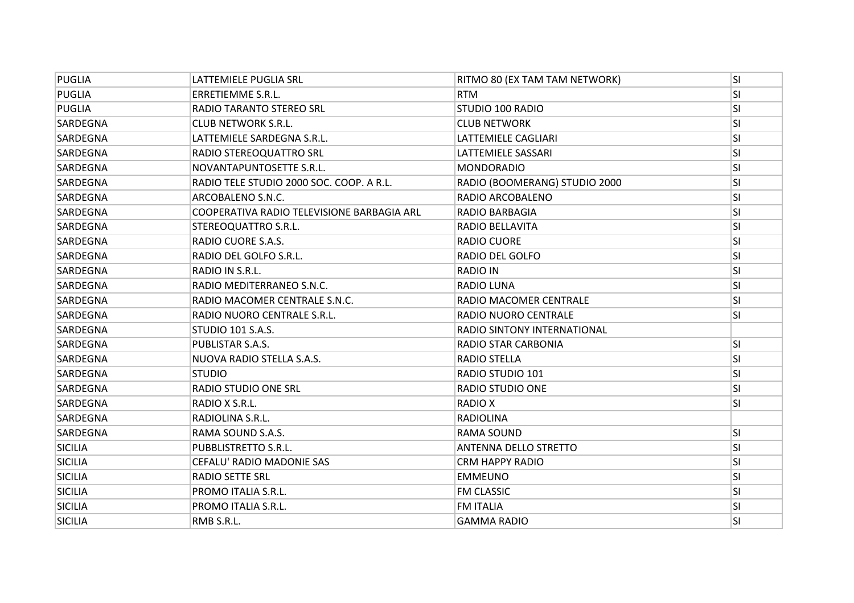| <b>PUGLIA</b>  | LATTEMIELE PUGLIA SRL                      | RITMO 80 (EX TAM TAM NETWORK) | <b>SI</b> |
|----------------|--------------------------------------------|-------------------------------|-----------|
| <b>PUGLIA</b>  | <b>ERRETIEMME S.R.L.</b>                   | <b>RTM</b>                    | SI        |
| <b>PUGLIA</b>  | RADIO TARANTO STEREO SRL                   | STUDIO 100 RADIO              | SI        |
| SARDEGNA       | <b>CLUB NETWORK S.R.L.</b>                 | <b>CLUB NETWORK</b>           | SI        |
| SARDEGNA       | LATTEMIELE SARDEGNA S.R.L.                 | LATTEMIELE CAGLIARI           | <b>SI</b> |
| SARDEGNA       | <b>RADIO STEREOQUATTRO SRL</b>             | LATTEMIELE SASSARI            | <b>SI</b> |
| SARDEGNA       | NOVANTAPUNTOSETTE S.R.L.                   | <b>MONDORADIO</b>             | SI        |
| SARDEGNA       | RADIO TELE STUDIO 2000 SOC. COOP. A R.L.   | RADIO (BOOMERANG) STUDIO 2000 | SI        |
| SARDEGNA       | ARCOBALENO S.N.C.                          | RADIO ARCOBALENO              | <b>SI</b> |
| SARDEGNA       | COOPERATIVA RADIO TELEVISIONE BARBAGIA ARL | RADIO BARBAGIA                | SI        |
| SARDEGNA       | STEREOQUATTRO S.R.L.                       | RADIO BELLAVITA               | <b>SI</b> |
| SARDEGNA       | RADIO CUORE S.A.S.                         | <b>RADIO CUORE</b>            | SI        |
| SARDEGNA       | RADIO DEL GOLFO S.R.L.                     | <b>RADIO DEL GOLFO</b>        | SI        |
| SARDEGNA       | RADIO IN S.R.L.                            | <b>RADIO IN</b>               | <b>SI</b> |
| SARDEGNA       | RADIO MEDITERRANEO S.N.C.                  | <b>RADIO LUNA</b>             | SI        |
| SARDEGNA       | RADIO MACOMER CENTRALE S.N.C.              | RADIO MACOMER CENTRALE        | SI        |
| SARDEGNA       | RADIO NUORO CENTRALE S.R.L.                | RADIO NUORO CENTRALE          | <b>SI</b> |
| SARDEGNA       | STUDIO 101 S.A.S.                          | RADIO SINTONY INTERNATIONAL   |           |
| SARDEGNA       | PUBLISTAR S.A.S.                           | RADIO STAR CARBONIA           | <b>SI</b> |
| SARDEGNA       | NUOVA RADIO STELLA S.A.S.                  | <b>RADIO STELLA</b>           | SI        |
| SARDEGNA       | <b>STUDIO</b>                              | RADIO STUDIO 101              | <b>SI</b> |
| SARDEGNA       | RADIO STUDIO ONE SRL                       | <b>RADIO STUDIO ONE</b>       | SI        |
| SARDEGNA       | RADIO X S.R.L.                             | <b>RADIO X</b>                | SI        |
| SARDEGNA       | RADIOLINA S.R.L.                           | <b>RADIOLINA</b>              |           |
| SARDEGNA       | RAMA SOUND S.A.S.                          | RAMA SOUND                    | <b>SI</b> |
| <b>SICILIA</b> | PUBBLISTRETTO S.R.L.                       | <b>ANTENNA DELLO STRETTO</b>  | <b>SI</b> |
| SICILIA        | <b>CEFALU' RADIO MADONIE SAS</b>           | <b>CRM HAPPY RADIO</b>        | SI        |
| <b>SICILIA</b> | <b>RADIO SETTE SRL</b>                     | <b>EMMEUNO</b>                | <b>SI</b> |
| SICILIA        | PROMO ITALIA S.R.L.                        | <b>FM CLASSIC</b>             | SI        |
| SICILIA        | PROMO ITALIA S.R.L.                        | <b>FM ITALIA</b>              | <b>SI</b> |
| SICILIA        | RMB S.R.L.                                 | <b>GAMMA RADIO</b>            | <b>SI</b> |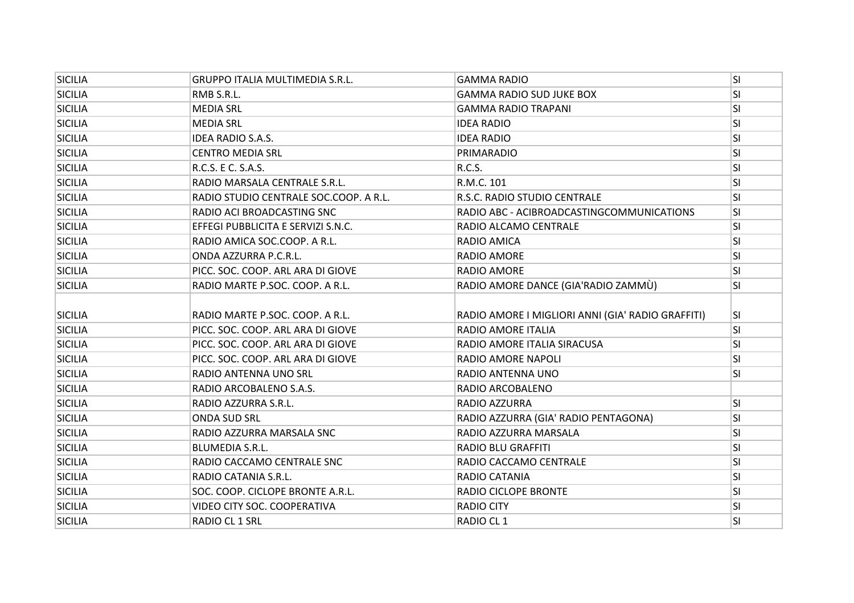| <b>SICILIA</b> | <b>GRUPPO ITALIA MULTIMEDIA S.R.L.</b> | <b>GAMMA RADIO</b>                                | lsı                     |
|----------------|----------------------------------------|---------------------------------------------------|-------------------------|
| <b>SICILIA</b> | RMB S.R.L.                             | <b>GAMMA RADIO SUD JUKE BOX</b>                   | <b>SI</b>               |
| <b>SICILIA</b> | <b>MEDIA SRL</b>                       | <b>GAMMA RADIO TRAPANI</b>                        | SI                      |
| <b>SICILIA</b> | <b>MEDIA SRL</b>                       | <b>IDEA RADIO</b>                                 | <b>SI</b>               |
| <b>SICILIA</b> | <b>IDEA RADIO S.A.S.</b>               | <b>IDEA RADIO</b>                                 | <b>SI</b>               |
| <b>SICILIA</b> | <b>CENTRO MEDIA SRL</b>                | PRIMARADIO                                        | lsı                     |
| <b>SICILIA</b> | R.C.S. E C. S.A.S.                     | R.C.S.                                            | SI                      |
| <b>SICILIA</b> | RADIO MARSALA CENTRALE S.R.L.          | R.M.C. 101                                        | SI                      |
| <b>SICILIA</b> | RADIO STUDIO CENTRALE SOC.COOP. A R.L. | R.S.C. RADIO STUDIO CENTRALE                      | <b>SI</b>               |
| <b>SICILIA</b> | RADIO ACI BROADCASTING SNC             | RADIO ABC - ACIBROADCASTINGCOMMUNICATIONS         | SI                      |
| <b>SICILIA</b> | EFFEGI PUBBLICITA E SERVIZI S.N.C.     | RADIO ALCAMO CENTRALE                             | lsı                     |
| <b>SICILIA</b> | RADIO AMICA SOC.COOP. A R.L.           | RADIO AMICA                                       | SI                      |
| <b>SICILIA</b> | ONDA AZZURRA P.C.R.L.                  | <b>RADIO AMORE</b>                                | SI                      |
| <b>SICILIA</b> | PICC. SOC. COOP. ARL ARA DI GIOVE      | <b>RADIO AMORE</b>                                | $\overline{\mathsf{S}}$ |
| SICILIA        | RADIO MARTE P.SOC. COOP. A R.L.        | RADIO AMORE DANCE (GIA'RADIO ZAMMÙ)               | $\overline{\mathsf{S}}$ |
|                |                                        |                                                   |                         |
| <b>SICILIA</b> | RADIO MARTE P.SOC. COOP. A R.L.        | RADIO AMORE I MIGLIORI ANNI (GIA' RADIO GRAFFITI) | SI.                     |
| <b>SICILIA</b> | PICC. SOC. COOP. ARL ARA DI GIOVE      | RADIO AMORE ITALIA                                | lsı                     |
| <b>SICILIA</b> | PICC. SOC. COOP. ARL ARA DI GIOVE      | RADIO AMORE ITALIA SIRACUSA                       | lsı                     |
| <b>SICILIA</b> | PICC. SOC. COOP. ARL ARA DI GIOVE      | RADIO AMORE NAPOLI                                | <b>SI</b>               |
| <b>SICILIA</b> | RADIO ANTENNA UNO SRL                  | RADIO ANTENNA UNO                                 | <b>SI</b>               |
| <b>SICILIA</b> | RADIO ARCOBALENO S.A.S.                | RADIO ARCOBALENO                                  |                         |
| <b>SICILIA</b> | RADIO AZZURRA S.R.L.                   | <b>RADIO AZZURRA</b>                              | lsı.                    |
| <b>SICILIA</b> | <b>ONDA SUD SRL</b>                    | RADIO AZZURRA (GIA' RADIO PENTAGONA)              | <b>SI</b>               |
| <b>SICILIA</b> | RADIO AZZURRA MARSALA SNC              | RADIO AZZURRA MARSALA                             | SI                      |
| <b>SICILIA</b> | <b>BLUMEDIA S.R.L.</b>                 | <b>RADIO BLU GRAFFITI</b>                         | <b>SI</b>               |
| <b>SICILIA</b> | RADIO CACCAMO CENTRALE SNC             | RADIO CACCAMO CENTRALE                            | SI                      |
| <b>SICILIA</b> | RADIO CATANIA S.R.L.                   | RADIO CATANIA                                     | <b>SI</b>               |
| <b>SICILIA</b> | SOC. COOP. CICLOPE BRONTE A.R.L.       | <b>RADIO CICLOPE BRONTE</b>                       | SI                      |
| SICILIA        | <b>VIDEO CITY SOC. COOPERATIVA</b>     | <b>RADIO CITY</b>                                 | lsı                     |
| <b>SICILIA</b> | RADIO CL 1 SRL                         | RADIO CL 1                                        | SI                      |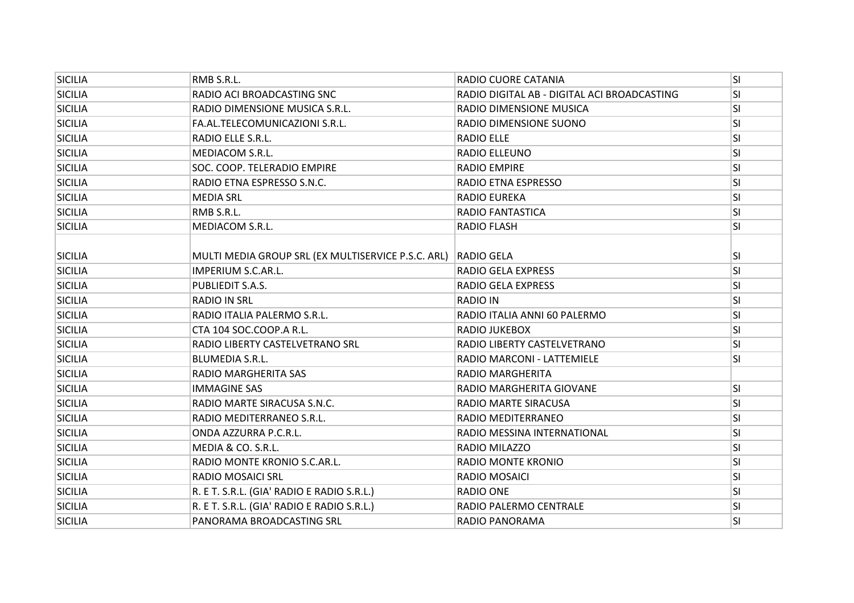| <b>SICILIA</b> | RMB S.R.L.                                         | RADIO CUORE CATANIA                         | lsı                     |
|----------------|----------------------------------------------------|---------------------------------------------|-------------------------|
| SICILIA        | RADIO ACI BROADCASTING SNC                         | RADIO DIGITAL AB - DIGITAL ACI BROADCASTING | <b>SI</b>               |
| <b>SICILIA</b> | RADIO DIMENSIONE MUSICA S.R.L.                     | RADIO DIMENSIONE MUSICA                     | SI                      |
| SICILIA        | FA.AL.TELECOMUNICAZIONI S.R.L.                     | RADIO DIMENSIONE SUONO                      | <b>SI</b>               |
| SICILIA        | RADIO ELLE S.R.L.                                  | <b>RADIO ELLE</b>                           | SI                      |
| <b>SICILIA</b> | MEDIACOM S.R.L.                                    | RADIO ELLEUNO                               | lsı                     |
| SICILIA        | SOC. COOP. TELERADIO EMPIRE                        | <b>RADIO EMPIRE</b>                         | lsı                     |
| <b>SICILIA</b> | RADIO ETNA ESPRESSO S.N.C.                         | RADIO ETNA ESPRESSO                         | SI                      |
| SICILIA        | <b>MEDIA SRL</b>                                   | <b>RADIO EUREKA</b>                         | SI                      |
| <b>SICILIA</b> | RMB S.R.L.                                         | RADIO FANTASTICA                            | <b>SI</b>               |
| SICILIA        | MEDIACOM S.R.L.                                    | <b>RADIO FLASH</b>                          | $\overline{\mathsf{S}}$ |
|                |                                                    |                                             |                         |
| SICILIA        | MULTI MEDIA GROUP SRL (EX MULTISERVICE P.S.C. ARL) | <b>RADIO GELA</b>                           | SI.                     |
| SICILIA        | IMPERIUM S.C.AR.L.                                 | <b>RADIO GELA EXPRESS</b>                   | lsı                     |
| <b>SICILIA</b> | PUBLIEDIT S.A.S.                                   | <b>RADIO GELA EXPRESS</b>                   | <b>SI</b>               |
| SICILIA        | <b>RADIO IN SRL</b>                                | <b>RADIO IN</b>                             | <b>SI</b>               |
| SICILIA        | RADIO ITALIA PALERMO S.R.L.                        | RADIO ITALIA ANNI 60 PALERMO                | <b>SI</b>               |
| <b>SICILIA</b> | CTA 104 SOC.COOP.A R.L.                            | RADIO JUKEBOX                               | SI                      |
| SICILIA        | RADIO LIBERTY CASTELVETRANO SRL                    | RADIO LIBERTY CASTELVETRANO                 | lsı.                    |
| <b>SICILIA</b> | <b>BLUMEDIA S.R.L.</b>                             | <b>RADIO MARCONI - LATTEMIELE</b>           | <b>SI</b>               |
| SICILIA        | <b>RADIO MARGHERITA SAS</b>                        | RADIO MARGHERITA                            |                         |
| <b>SICILIA</b> | <b>IMMAGINE SAS</b>                                | RADIO MARGHERITA GIOVANE                    | SI                      |
| SICILIA        | RADIO MARTE SIRACUSA S.N.C.                        | RADIO MARTE SIRACUSA                        | <b>SI</b>               |
| SICILIA        | RADIO MEDITERRANEO S.R.L.                          | RADIO MEDITERRANEO                          | lsı                     |
| <b>SICILIA</b> | ONDA AZZURRA P.C.R.L.                              | RADIO MESSINA INTERNATIONAL                 | lsı                     |
| SICILIA        | MEDIA & CO. S.R.L.                                 | RADIO MILAZZO                               | <b>SI</b>               |
| <b>SICILIA</b> | RADIO MONTE KRONIO S.C.AR.L.                       | <b>RADIO MONTE KRONIO</b>                   | SI                      |
| <b>SICILIA</b> | <b>RADIO MOSAICI SRL</b>                           | RADIO MOSAICI                               | <b>SI</b>               |
| SICILIA        | R. E T. S.R.L. (GIA' RADIO E RADIO S.R.L.)         | <b>RADIO ONE</b>                            | SI                      |
| <b>SICILIA</b> | R. E T. S.R.L. (GIA' RADIO E RADIO S.R.L.)         | RADIO PALERMO CENTRALE                      | lsı                     |
| SICILIA        | PANORAMA BROADCASTING SRL                          | <b>RADIO PANORAMA</b>                       | SI                      |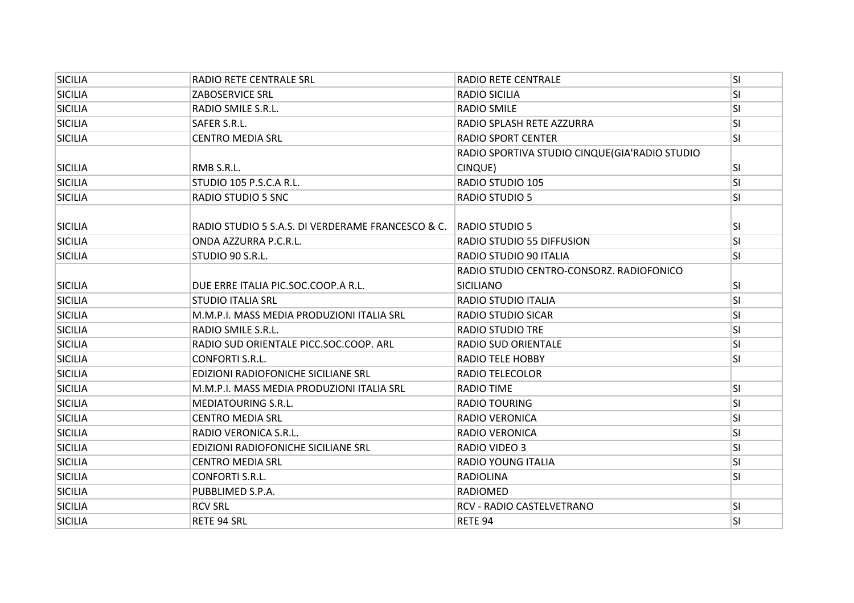| <b>SICILIA</b> | <b>RADIO RETE CENTRALE SRL</b>                    | <b>RADIO RETE CENTRALE</b>                    | <b>SI</b> |
|----------------|---------------------------------------------------|-----------------------------------------------|-----------|
| <b>SICILIA</b> | <b>ZABOSERVICE SRL</b>                            | <b>RADIO SICILIA</b>                          | <b>SI</b> |
| <b>SICILIA</b> | RADIO SMILE S.R.L.                                | <b>RADIO SMILE</b>                            | SI        |
| <b>SICILIA</b> | SAFER S.R.L.                                      | RADIO SPLASH RETE AZZURRA                     | <b>SI</b> |
| SICILIA        | <b>CENTRO MEDIA SRL</b>                           | <b>RADIO SPORT CENTER</b>                     | <b>SI</b> |
|                |                                                   | RADIO SPORTIVA STUDIO CINQUE(GIA'RADIO STUDIO |           |
| <b>SICILIA</b> | RMB S.R.L.                                        | CINQUE)                                       | SI        |
| <b>SICILIA</b> | STUDIO 105 P.S.C.A R.L.                           | RADIO STUDIO 105                              | <b>SI</b> |
| SICILIA        | <b>RADIO STUDIO 5 SNC</b>                         | <b>RADIO STUDIO 5</b>                         | SI        |
|                |                                                   |                                               |           |
| <b>SICILIA</b> | RADIO STUDIO 5 S.A.S. DI VERDERAME FRANCESCO & C. | <b>RADIO STUDIO 5</b>                         | SI        |
| <b>SICILIA</b> | ONDA AZZURRA P.C.R.L.                             | RADIO STUDIO 55 DIFFUSION                     | SI        |
| <b>SICILIA</b> | STUDIO 90 S.R.L.                                  | RADIO STUDIO 90 ITALIA                        | <b>SI</b> |
|                |                                                   | RADIO STUDIO CENTRO-CONSORZ. RADIOFONICO      |           |
| <b>SICILIA</b> | DUE ERRE ITALIA PIC.SOC.COOP.A R.L.               | <b>SICILIANO</b>                              | SI        |
| <b>SICILIA</b> | <b>STUDIO ITALIA SRL</b>                          | <b>RADIO STUDIO ITALIA</b>                    | <b>SI</b> |
| <b>SICILIA</b> | M.M.P.I. MASS MEDIA PRODUZIONI ITALIA SRL         | <b>RADIO STUDIO SICAR</b>                     | SI        |
| <b>SICILIA</b> | RADIO SMILE S.R.L.                                | <b>RADIO STUDIO TRE</b>                       | <b>SI</b> |
| <b>SICILIA</b> | RADIO SUD ORIENTALE PICC.SOC.COOP. ARL            | <b>RADIO SUD ORIENTALE</b>                    | <b>SI</b> |
| <b>SICILIA</b> | <b>CONFORTI S.R.L.</b>                            | <b>RADIO TELE HOBBY</b>                       | SI        |
| <b>SICILIA</b> | EDIZIONI RADIOFONICHE SICILIANE SRL               | <b>RADIO TELECOLOR</b>                        |           |
| <b>SICILIA</b> | M.M.P.I. MASS MEDIA PRODUZIONI ITALIA SRL         | <b>RADIO TIME</b>                             | SI        |
| <b>SICILIA</b> | <b>MEDIATOURING S.R.L.</b>                        | <b>RADIO TOURING</b>                          | <b>SI</b> |
| <b>SICILIA</b> | <b>CENTRO MEDIA SRL</b>                           | <b>RADIO VERONICA</b>                         | SI        |
| <b>SICILIA</b> | RADIO VERONICA S.R.L.                             | <b>RADIO VERONICA</b>                         | SI        |
| <b>SICILIA</b> | <b>EDIZIONI RADIOFONICHE SICILIANE SRL</b>        | <b>RADIO VIDEO 3</b>                          | SI        |
| <b>SICILIA</b> | <b>CENTRO MEDIA SRL</b>                           | <b>RADIO YOUNG ITALIA</b>                     | SI        |
| <b>SICILIA</b> | <b>CONFORTI S.R.L.</b>                            | <b>RADIOLINA</b>                              | <b>SI</b> |
| <b>SICILIA</b> | PUBBLIMED S.P.A.                                  | <b>RADIOMED</b>                               |           |
| SICILIA        | <b>RCV SRL</b>                                    | RCV - RADIO CASTELVETRANO                     | <b>SI</b> |
| <b>SICILIA</b> | <b>RETE 94 SRL</b>                                | RETE 94                                       | <b>SI</b> |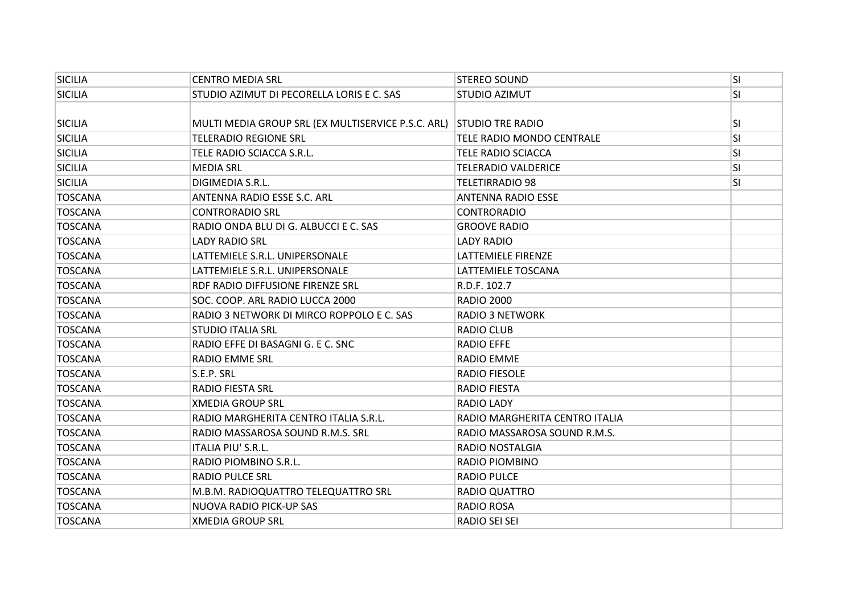| <b>SICILIA</b> | <b>CENTRO MEDIA SRL</b>                                             | <b>STEREO SOUND</b>            | SI        |
|----------------|---------------------------------------------------------------------|--------------------------------|-----------|
| <b>SICILIA</b> | STUDIO AZIMUT DI PECORELLA LORIS E C. SAS                           | <b>STUDIO AZIMUT</b>           | <b>SI</b> |
|                |                                                                     |                                |           |
| <b>SICILIA</b> | MULTI MEDIA GROUP SRL (EX MULTISERVICE P.S.C. ARL) STUDIO TRE RADIO |                                | SI.       |
| <b>SICILIA</b> | <b>TELERADIO REGIONE SRL</b>                                        | TELE RADIO MONDO CENTRALE      | SI        |
| SICILIA        | TELE RADIO SCIACCA S.R.L.                                           | <b>TELE RADIO SCIACCA</b>      | <b>SI</b> |
| <b>SICILIA</b> | <b>MEDIA SRL</b>                                                    | <b>TELERADIO VALDERICE</b>     | <b>SI</b> |
| <b>SICILIA</b> | DIGIMEDIA S.R.L.                                                    | <b>TELETIRRADIO 98</b>         | <b>SI</b> |
| <b>TOSCANA</b> | ANTENNA RADIO ESSE S.C. ARL                                         | <b>ANTENNA RADIO ESSE</b>      |           |
| <b>TOSCANA</b> | <b>CONTRORADIO SRL</b>                                              | <b>CONTRORADIO</b>             |           |
| <b>TOSCANA</b> | RADIO ONDA BLU DI G. ALBUCCI E C. SAS                               | <b>GROOVE RADIO</b>            |           |
| <b>TOSCANA</b> | <b>LADY RADIO SRL</b>                                               | LADY RADIO                     |           |
| <b>TOSCANA</b> | LATTEMIELE S.R.L. UNIPERSONALE                                      | LATTEMIELE FIRENZE             |           |
| <b>TOSCANA</b> | LATTEMIELE S.R.L. UNIPERSONALE                                      | LATTEMIELE TOSCANA             |           |
| <b>TOSCANA</b> | RDF RADIO DIFFUSIONE FIRENZE SRL                                    | R.D.F. 102.7                   |           |
| <b>TOSCANA</b> | SOC. COOP. ARL RADIO LUCCA 2000                                     | <b>RADIO 2000</b>              |           |
| <b>TOSCANA</b> | RADIO 3 NETWORK DI MIRCO ROPPOLO E C. SAS                           | <b>RADIO 3 NETWORK</b>         |           |
| <b>TOSCANA</b> | <b>STUDIO ITALIA SRL</b>                                            | <b>RADIO CLUB</b>              |           |
| <b>TOSCANA</b> | RADIO EFFE DI BASAGNI G. E C. SNC                                   | <b>RADIO EFFE</b>              |           |
| <b>TOSCANA</b> | <b>RADIO EMME SRL</b>                                               | RADIO EMME                     |           |
| <b>TOSCANA</b> | S.E.P. SRL                                                          | <b>RADIO FIESOLE</b>           |           |
| <b>TOSCANA</b> | <b>RADIO FIESTA SRL</b>                                             | <b>RADIO FIESTA</b>            |           |
| <b>TOSCANA</b> | <b>XMEDIA GROUP SRL</b>                                             | <b>RADIO LADY</b>              |           |
| <b>TOSCANA</b> | RADIO MARGHERITA CENTRO ITALIA S.R.L.                               | RADIO MARGHERITA CENTRO ITALIA |           |
| <b>TOSCANA</b> | RADIO MASSAROSA SOUND R.M.S. SRL                                    | RADIO MASSAROSA SOUND R.M.S.   |           |
| <b>TOSCANA</b> | <b>ITALIA PIU' S.R.L.</b>                                           | RADIO NOSTALGIA                |           |
| <b>TOSCANA</b> | RADIO PIOMBINO S.R.L.                                               | RADIO PIOMBINO                 |           |
| <b>TOSCANA</b> | <b>RADIO PULCE SRL</b>                                              | <b>RADIO PULCE</b>             |           |
| <b>TOSCANA</b> | M.B.M. RADIOQUATTRO TELEQUATTRO SRL                                 | <b>RADIO QUATTRO</b>           |           |
| <b>TOSCANA</b> | <b>NUOVA RADIO PICK-UP SAS</b>                                      | <b>RADIO ROSA</b>              |           |
| <b>TOSCANA</b> | <b>XMEDIA GROUP SRL</b>                                             | <b>RADIO SEI SEI</b>           |           |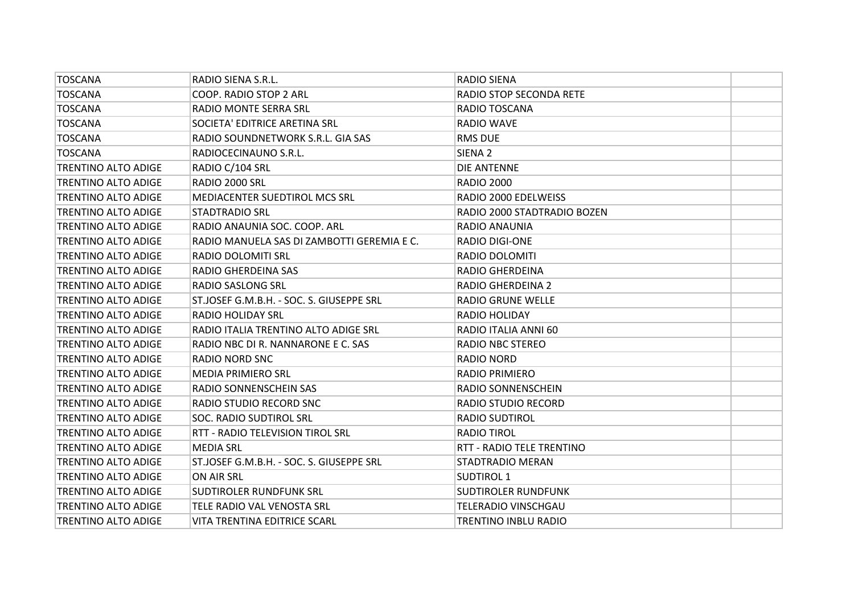| <b>TOSCANA</b>             | RADIO SIENA S.R.L.                         | <b>RADIO SIENA</b>          |  |
|----------------------------|--------------------------------------------|-----------------------------|--|
| <b>TOSCANA</b>             | COOP. RADIO STOP 2 ARL                     | RADIO STOP SECONDA RETE     |  |
| <b>TOSCANA</b>             | RADIO MONTE SERRA SRL                      | RADIO TOSCANA               |  |
| <b>TOSCANA</b>             | SOCIETA' EDITRICE ARETINA SRL              | <b>RADIO WAVE</b>           |  |
| <b>TOSCANA</b>             | RADIO SOUNDNETWORK S.R.L. GIA SAS          | <b>RMS DUE</b>              |  |
| <b>TOSCANA</b>             | RADIOCECINAUNO S.R.L.                      | SIENA <sub>2</sub>          |  |
| <b>TRENTINO ALTO ADIGE</b> | RADIO C/104 SRL                            | DIE ANTENNE                 |  |
| <b>TRENTINO ALTO ADIGE</b> | RADIO 2000 SRL                             | <b>RADIO 2000</b>           |  |
| <b>TRENTINO ALTO ADIGE</b> | MEDIACENTER SUEDTIROL MCS SRL              | RADIO 2000 EDELWEISS        |  |
| <b>TRENTINO ALTO ADIGE</b> | <b>STADTRADIO SRL</b>                      | RADIO 2000 STADTRADIO BOZEN |  |
| <b>TRENTINO ALTO ADIGE</b> | RADIO ANAUNIA SOC. COOP. ARL               | RADIO ANAUNIA               |  |
| TRENTINO ALTO ADIGE        | RADIO MANUELA SAS DI ZAMBOTTI GEREMIA E C. | <b>RADIO DIGI-ONE</b>       |  |
| TRENTINO ALTO ADIGE        | RADIO DOLOMITI SRL                         | RADIO DOLOMITI              |  |
| <b>TRENTINO ALTO ADIGE</b> | RADIO GHERDEINA SAS                        | <b>RADIO GHERDEINA</b>      |  |
| <b>TRENTINO ALTO ADIGE</b> | RADIO SASLONG SRL                          | <b>RADIO GHERDEINA 2</b>    |  |
| <b>TRENTINO ALTO ADIGE</b> | ST.JOSEF G.M.B.H. - SOC. S. GIUSEPPE SRL   | <b>RADIO GRUNE WELLE</b>    |  |
| <b>TRENTINO ALTO ADIGE</b> | <b>RADIO HOLIDAY SRL</b>                   | <b>RADIO HOLIDAY</b>        |  |
| <b>TRENTINO ALTO ADIGE</b> | RADIO ITALIA TRENTINO ALTO ADIGE SRL       | RADIO ITALIA ANNI 60        |  |
| <b>TRENTINO ALTO ADIGE</b> | RADIO NBC DI R. NANNARONE E C. SAS         | <b>RADIO NBC STEREO</b>     |  |
| <b>TRENTINO ALTO ADIGE</b> | <b>RADIO NORD SNC</b>                      | <b>RADIO NORD</b>           |  |
| <b>TRENTINO ALTO ADIGE</b> | <b>MEDIA PRIMIERO SRL</b>                  | RADIO PRIMIERO              |  |
| <b>TRENTINO ALTO ADIGE</b> | RADIO SONNENSCHEIN SAS                     | RADIO SONNENSCHEIN          |  |
| <b>TRENTINO ALTO ADIGE</b> | RADIO STUDIO RECORD SNC                    | RADIO STUDIO RECORD         |  |
| <b>TRENTINO ALTO ADIGE</b> | SOC. RADIO SUDTIROL SRL                    | <b>RADIO SUDTIROL</b>       |  |
| TRENTINO ALTO ADIGE        | RTT - RADIO TELEVISION TIROL SRL           | <b>RADIO TIROL</b>          |  |
| <b>TRENTINO ALTO ADIGE</b> | <b>MEDIA SRL</b>                           | RTT - RADIO TELE TRENTINO   |  |
| <b>TRENTINO ALTO ADIGE</b> | ST.JOSEF G.M.B.H. - SOC. S. GIUSEPPE SRL   | STADTRADIO MERAN            |  |
| <b>TRENTINO ALTO ADIGE</b> | ON AIR SRL                                 | <b>SUDTIROL 1</b>           |  |
| <b>TRENTINO ALTO ADIGE</b> | <b>SUDTIROLER RUNDFUNK SRL</b>             | <b>SUDTIROLER RUNDFUNK</b>  |  |
| <b>TRENTINO ALTO ADIGE</b> | TELE RADIO VAL VENOSTA SRL                 | <b>TELERADIO VINSCHGAU</b>  |  |
| <b>TRENTINO ALTO ADIGE</b> | VITA TRENTINA EDITRICE SCARL               | <b>TRENTINO INBLU RADIO</b> |  |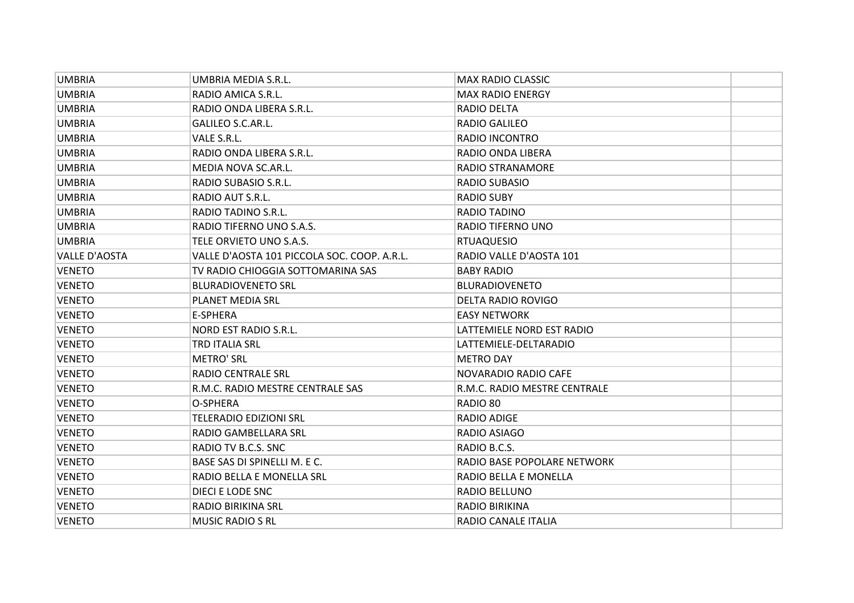| <b>UMBRIA</b>        | UMBRIA MEDIA S.R.L.                         | <b>MAX RADIO CLASSIC</b>     |  |
|----------------------|---------------------------------------------|------------------------------|--|
| <b>UMBRIA</b>        | RADIO AMICA S.R.L.                          | <b>MAX RADIO ENERGY</b>      |  |
| <b>UMBRIA</b>        | RADIO ONDA LIBERA S.R.L.                    | RADIO DELTA                  |  |
| <b>UMBRIA</b>        | GALILEO S.C.AR.L.                           | RADIO GALILEO                |  |
| <b>UMBRIA</b>        | VALE S.R.L.                                 | <b>RADIO INCONTRO</b>        |  |
| UMBRIA               | RADIO ONDA LIBERA S.R.L.                    | RADIO ONDA LIBERA            |  |
| <b>UMBRIA</b>        | MEDIA NOVA SC.AR.L.                         | <b>RADIO STRANAMORE</b>      |  |
| <b>UMBRIA</b>        | RADIO SUBASIO S.R.L.                        | <b>RADIO SUBASIO</b>         |  |
| <b>UMBRIA</b>        | RADIO AUT S.R.L.                            | <b>RADIO SUBY</b>            |  |
| <b>UMBRIA</b>        | RADIO TADINO S.R.L.                         | RADIO TADINO                 |  |
| <b>UMBRIA</b>        | RADIO TIFERNO UNO S.A.S.                    | RADIO TIFERNO UNO            |  |
| <b>UMBRIA</b>        | TELE ORVIETO UNO S.A.S.                     | <b>RTUAQUESIO</b>            |  |
| <b>VALLE D'AOSTA</b> | VALLE D'AOSTA 101 PICCOLA SOC. COOP. A.R.L. | RADIO VALLE D'AOSTA 101      |  |
| <b>VENETO</b>        | TV RADIO CHIOGGIA SOTTOMARINA SAS           | <b>BABY RADIO</b>            |  |
| <b>VENETO</b>        | <b>BLURADIOVENETO SRL</b>                   | <b>BLURADIOVENETO</b>        |  |
| <b>VENETO</b>        | PLANET MEDIA SRL                            | <b>DELTA RADIO ROVIGO</b>    |  |
| <b>VENETO</b>        | E-SPHERA                                    | <b>EASY NETWORK</b>          |  |
| <b>VENETO</b>        | NORD EST RADIO S.R.L.                       | LATTEMIELE NORD EST RADIO    |  |
| <b>VENETO</b>        | TRD ITALIA SRL                              | LATTEMIELE-DELTARADIO        |  |
| <b>VENETO</b>        | <b>METRO' SRL</b>                           | <b>METRO DAY</b>             |  |
| <b>VENETO</b>        | <b>RADIO CENTRALE SRL</b>                   | NOVARADIO RADIO CAFE         |  |
| <b>VENETO</b>        | R.M.C. RADIO MESTRE CENTRALE SAS            | R.M.C. RADIO MESTRE CENTRALE |  |
| <b>VENETO</b>        | O-SPHERA                                    | RADIO 80                     |  |
| <b>VENETO</b>        | <b>TELERADIO EDIZIONI SRL</b>               | RADIO ADIGE                  |  |
| <b>VENETO</b>        | RADIO GAMBELLARA SRL                        | RADIO ASIAGO                 |  |
| <b>VENETO</b>        | RADIO TV B.C.S. SNC                         | RADIO B.C.S.                 |  |
| <b>VENETO</b>        | BASE SAS DI SPINELLI M. E C.                | RADIO BASE POPOLARE NETWORK  |  |
| <b>VENETO</b>        | RADIO BELLA E MONELLA SRL                   | RADIO BELLA E MONELLA        |  |
| <b>VENETO</b>        | DIECI E LODE SNC                            | RADIO BELLUNO                |  |
| <b>VENETO</b>        | <b>RADIO BIRIKINA SRL</b>                   | RADIO BIRIKINA               |  |
| <b>VENETO</b>        | <b>MUSIC RADIO S RL</b>                     | <b>RADIO CANALE ITALIA</b>   |  |